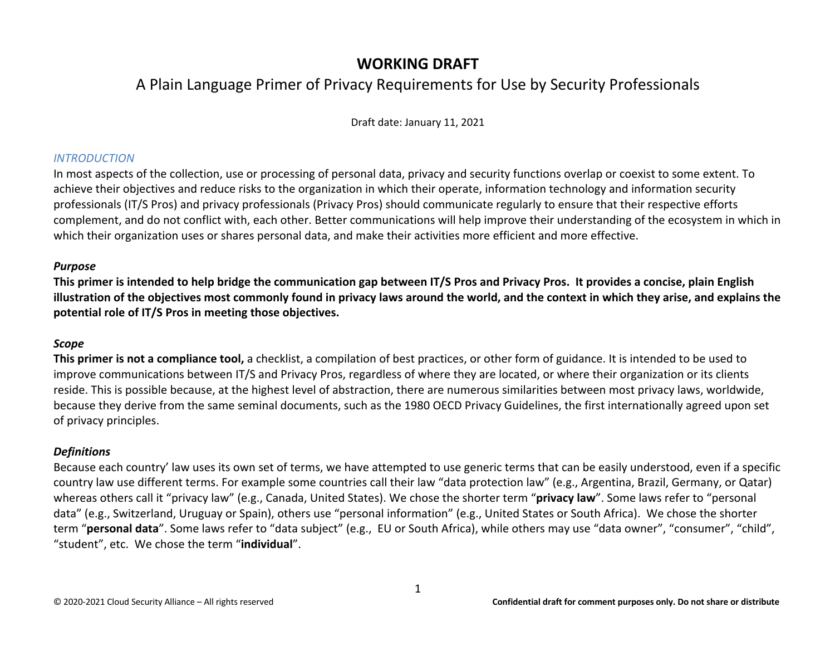## **WORKING DRAFT**

# A Plain Language Primer of Privacy Requirements for Use by Security Professionals

Draft date: January 11, 2021

### *INTRODUCTION*

In most aspects of the collection, use or processing of personal data, privacy and security functions overlap or coexist to some extent. To achieve their objectives and reduce risks to the organization in which their operate, information technology and information security professionals (IT/S Pros) and privacy professionals (Privacy Pros) should communicate regularly to ensure that their respective efforts complement, and do not conflict with, each other. Better communications will help improve their understanding of the ecosystem in which in which their organization uses or shares personal data, and make their activities more efficient and more effective.

### *Purpose*

**This primer is intended to help bridge the communication gap between IT/S Pros and Privacy Pros. It provides a concise, plain English illustration of the objectives most commonly found in privacy laws around the world, and the context in which they arise, and explains the potential role of IT/S Pros in meeting those objectives.**

### *Scope*

**This primer is not a compliance tool,** a checklist, a compilation of best practices, or other form of guidance. It is intended to be used to improve communications between IT/S and Privacy Pros, regardless of where they are located, or where their organization or its clients reside. This is possible because, at the highest level of abstraction, there are numerous similarities between most privacy laws, worldwide, because they derive from the same seminal documents, such as the 1980 OECD Privacy Guidelines, the first internationally agreed upon set of privacy principles.

### *Definitions*

Because each country' law uses its own set of terms, we have attempted to use generic terms that can be easily understood, even if a specific country law use different terms. For example some countries call their law "data protection law" (e.g., Argentina, Brazil, Germany, or Qatar) whereas others call it "privacy law" (e.g., Canada, United States). We chose the shorter term "**privacy law**". Some laws refer to "personal data" (e.g., Switzerland, Uruguay or Spain), others use "personal information" (e.g., United States or South Africa). We chose the shorter term "**personal data**". Some laws refer to "data subject" (e.g., EU or South Africa), while others may use "data owner", "consumer", "child", "student", etc. We chose the term "**individual**".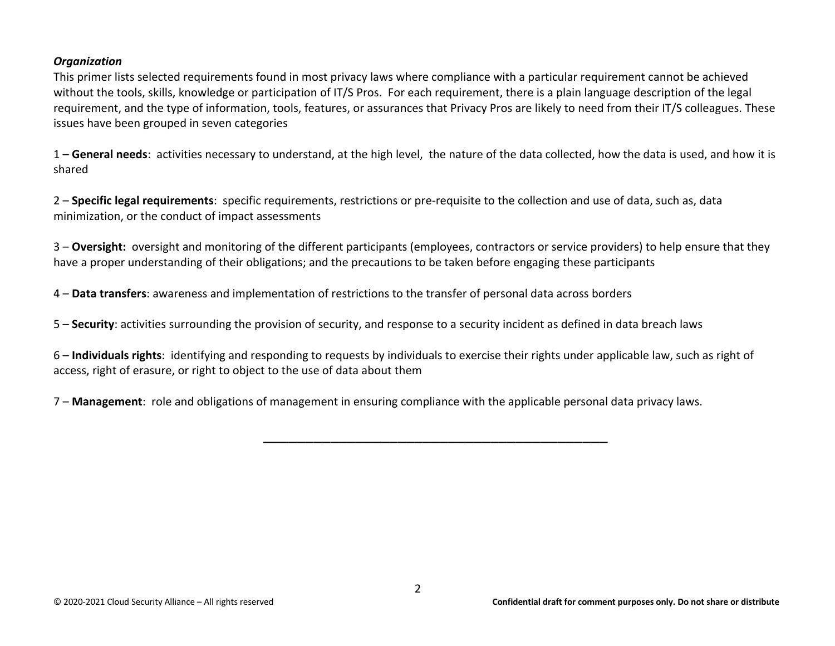#### *Organization*

This primer lists selected requirements found in most privacy laws where compliance with a particular requirement cannot be achieved without the tools, skills, knowledge or participation of IT/S Pros. For each requirement, there is a plain language description of the legal requirement, and the type of information, tools, features, or assurances that Privacy Pros are likely to need from their IT/S colleagues. These issues have been grouped in seven categories

1 – **General needs**: activities necessary to understand, at the high level, the nature of the data collected, how the data is used, and how it is shared

2 – **Specific legal requirements**: specific requirements, restrictions or pre-requisite to the collection and use of data, such as, data minimization, or the conduct of impact assessments

3 – **Oversight:** oversight and monitoring of the different participants (employees, contractors or service providers) to help ensure that they have a proper understanding of their obligations; and the precautions to be taken before engaging these participants

4 – **Data transfers**: awareness and implementation of restrictions to the transfer of personal data across borders

5 – **Security**: activities surrounding the provision of security, and response to a security incident as defined in data breach laws

6 – **Individuals rights**: identifying and responding to requests by individuals to exercise their rights under applicable law, such as right of access, right of erasure, or right to object to the use of data about them

*\_\_\_\_\_\_\_\_\_\_\_\_\_\_\_\_\_\_\_\_\_\_\_\_\_\_\_\_\_\_\_\_\_\_\_\_\_\_\_\_\_*

7 – **Management**: role and obligations of management in ensuring compliance with the applicable personal data privacy laws.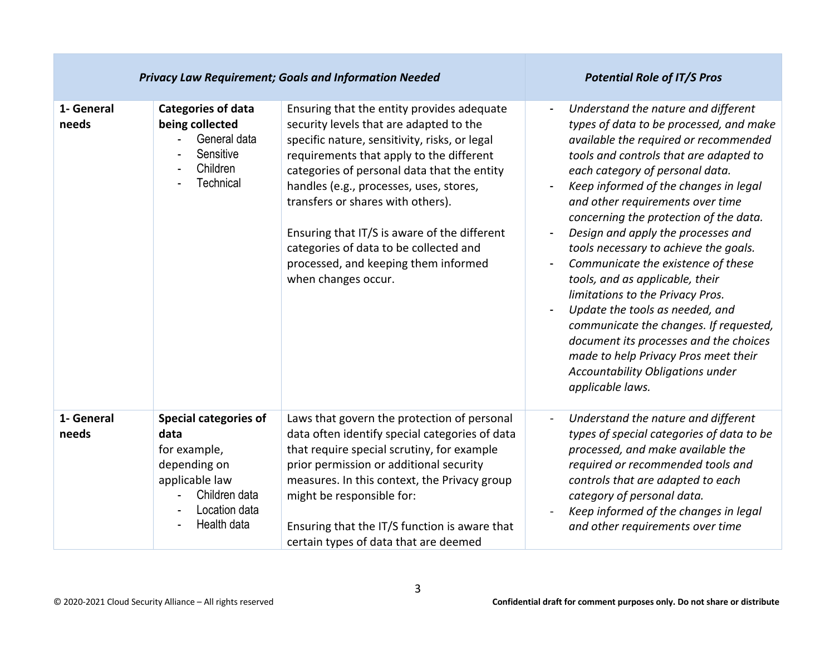| <b>Privacy Law Requirement; Goals and Information Needed</b> |                                                                                                                                         |                                                                                                                                                                                                                                                                                                                                                                                                                                                                            | <b>Potential Role of IT/S Pros</b>                                                                                                                                                                                                                                                                                                                                                                                                                                                                                                                                                                                                                                                                                                                               |
|--------------------------------------------------------------|-----------------------------------------------------------------------------------------------------------------------------------------|----------------------------------------------------------------------------------------------------------------------------------------------------------------------------------------------------------------------------------------------------------------------------------------------------------------------------------------------------------------------------------------------------------------------------------------------------------------------------|------------------------------------------------------------------------------------------------------------------------------------------------------------------------------------------------------------------------------------------------------------------------------------------------------------------------------------------------------------------------------------------------------------------------------------------------------------------------------------------------------------------------------------------------------------------------------------------------------------------------------------------------------------------------------------------------------------------------------------------------------------------|
| 1- General<br>needs                                          | <b>Categories of data</b><br>being collected<br>General data<br>Sensitive<br>Children<br>Technical                                      | Ensuring that the entity provides adequate<br>security levels that are adapted to the<br>specific nature, sensitivity, risks, or legal<br>requirements that apply to the different<br>categories of personal data that the entity<br>handles (e.g., processes, uses, stores,<br>transfers or shares with others).<br>Ensuring that IT/S is aware of the different<br>categories of data to be collected and<br>processed, and keeping them informed<br>when changes occur. | Understand the nature and different<br>$\blacksquare$<br>types of data to be processed, and make<br>available the required or recommended<br>tools and controls that are adapted to<br>each category of personal data.<br>Keep informed of the changes in legal<br>and other requirements over time<br>concerning the protection of the data.<br>Design and apply the processes and<br>tools necessary to achieve the goals.<br>Communicate the existence of these<br>tools, and as applicable, their<br>limitations to the Privacy Pros.<br>Update the tools as needed, and<br>communicate the changes. If requested,<br>document its processes and the choices<br>made to help Privacy Pros meet their<br>Accountability Obligations under<br>applicable laws. |
| 1- General<br>needs                                          | <b>Special categories of</b><br>data<br>for example,<br>depending on<br>applicable law<br>Children data<br>Location data<br>Health data | Laws that govern the protection of personal<br>data often identify special categories of data<br>that require special scrutiny, for example<br>prior permission or additional security<br>measures. In this context, the Privacy group<br>might be responsible for:<br>Ensuring that the IT/S function is aware that<br>certain types of data that are deemed                                                                                                              | Understand the nature and different<br>types of special categories of data to be<br>processed, and make available the<br>required or recommended tools and<br>controls that are adapted to each<br>category of personal data.<br>Keep informed of the changes in legal<br>and other requirements over time                                                                                                                                                                                                                                                                                                                                                                                                                                                       |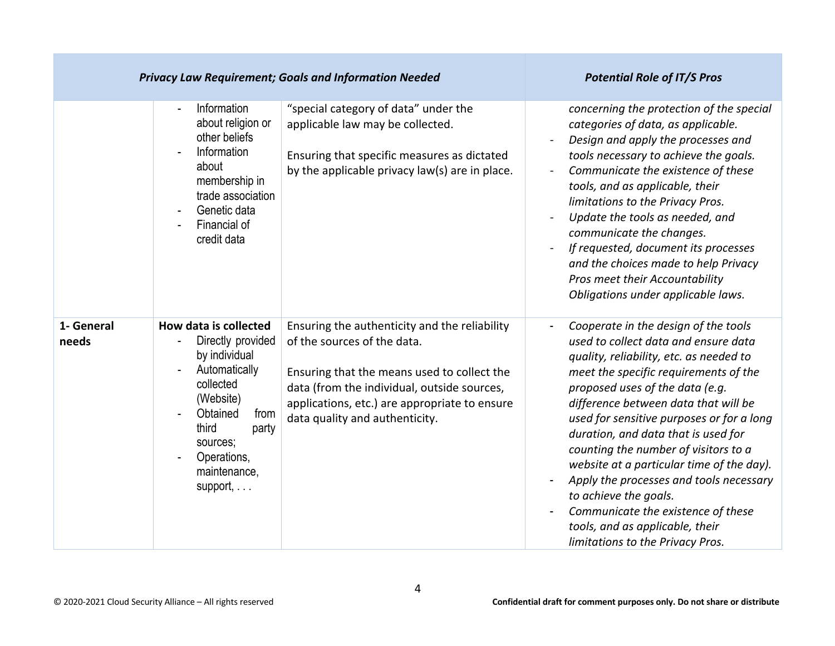| <b>Privacy Law Requirement; Goals and Information Needed</b> |                                                                                                                                                                                                     |                                                                                                                                                                                                                                                               | <b>Potential Role of IT/S Pros</b>                                                                                                                                                                                                                                                                                                                                                                                                                                                                                                                                                                    |
|--------------------------------------------------------------|-----------------------------------------------------------------------------------------------------------------------------------------------------------------------------------------------------|---------------------------------------------------------------------------------------------------------------------------------------------------------------------------------------------------------------------------------------------------------------|-------------------------------------------------------------------------------------------------------------------------------------------------------------------------------------------------------------------------------------------------------------------------------------------------------------------------------------------------------------------------------------------------------------------------------------------------------------------------------------------------------------------------------------------------------------------------------------------------------|
|                                                              | Information<br>about religion or<br>other beliefs<br>Information<br>about<br>membership in<br>trade association<br>Genetic data<br>Financial of<br>credit data                                      | "special category of data" under the<br>applicable law may be collected.<br>Ensuring that specific measures as dictated<br>by the applicable privacy law(s) are in place.                                                                                     | concerning the protection of the special<br>categories of data, as applicable.<br>Design and apply the processes and<br>tools necessary to achieve the goals.<br>Communicate the existence of these<br>tools, and as applicable, their<br>limitations to the Privacy Pros.<br>Update the tools as needed, and<br>communicate the changes.<br>If requested, document its processes<br>and the choices made to help Privacy<br>Pros meet their Accountability<br>Obligations under applicable laws.                                                                                                     |
| 1- General<br>needs                                          | How data is collected<br>Directly provided<br>by individual<br>Automatically<br>collected<br>(Website)<br>Obtained<br>from<br>third<br>party<br>sources;<br>Operations,<br>maintenance,<br>support, | Ensuring the authenticity and the reliability<br>of the sources of the data.<br>Ensuring that the means used to collect the<br>data (from the individual, outside sources,<br>applications, etc.) are appropriate to ensure<br>data quality and authenticity. | Cooperate in the design of the tools<br>used to collect data and ensure data<br>quality, reliability, etc. as needed to<br>meet the specific requirements of the<br>proposed uses of the data (e.g.<br>difference between data that will be<br>used for sensitive purposes or for a long<br>duration, and data that is used for<br>counting the number of visitors to a<br>website at a particular time of the day).<br>Apply the processes and tools necessary<br>to achieve the goals.<br>Communicate the existence of these<br>tools, and as applicable, their<br>limitations to the Privacy Pros. |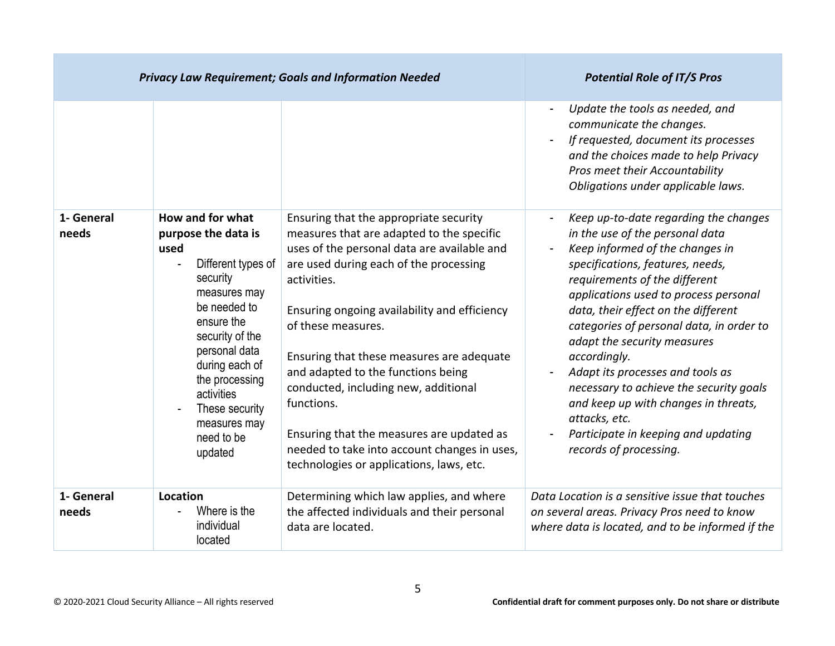|                     |                                                                                                                                                                                                                                                                                  | <b>Privacy Law Requirement; Goals and Information Needed</b>                                                                                                                                                                                                                                                                                                                                                                                                                                                                                        | <b>Potential Role of IT/S Pros</b>                                                                                                                                                                                                                                                                                                                                                                                                                                                                                                                                   |
|---------------------|----------------------------------------------------------------------------------------------------------------------------------------------------------------------------------------------------------------------------------------------------------------------------------|-----------------------------------------------------------------------------------------------------------------------------------------------------------------------------------------------------------------------------------------------------------------------------------------------------------------------------------------------------------------------------------------------------------------------------------------------------------------------------------------------------------------------------------------------------|----------------------------------------------------------------------------------------------------------------------------------------------------------------------------------------------------------------------------------------------------------------------------------------------------------------------------------------------------------------------------------------------------------------------------------------------------------------------------------------------------------------------------------------------------------------------|
|                     |                                                                                                                                                                                                                                                                                  |                                                                                                                                                                                                                                                                                                                                                                                                                                                                                                                                                     | Update the tools as needed, and<br>communicate the changes.<br>If requested, document its processes<br>and the choices made to help Privacy<br>Pros meet their Accountability<br>Obligations under applicable laws.                                                                                                                                                                                                                                                                                                                                                  |
| 1- General<br>needs | How and for what<br>purpose the data is<br>used<br>Different types of<br>security<br>measures may<br>be needed to<br>ensure the<br>security of the<br>personal data<br>during each of<br>the processing<br>activities<br>These security<br>measures may<br>need to be<br>updated | Ensuring that the appropriate security<br>measures that are adapted to the specific<br>uses of the personal data are available and<br>are used during each of the processing<br>activities.<br>Ensuring ongoing availability and efficiency<br>of these measures.<br>Ensuring that these measures are adequate<br>and adapted to the functions being<br>conducted, including new, additional<br>functions.<br>Ensuring that the measures are updated as<br>needed to take into account changes in uses,<br>technologies or applications, laws, etc. | Keep up-to-date regarding the changes<br>in the use of the personal data<br>Keep informed of the changes in<br>specifications, features, needs,<br>requirements of the different<br>applications used to process personal<br>data, their effect on the different<br>categories of personal data, in order to<br>adapt the security measures<br>accordingly.<br>Adapt its processes and tools as<br>necessary to achieve the security goals<br>and keep up with changes in threats,<br>attacks, etc.<br>Participate in keeping and updating<br>records of processing. |
| 1- General<br>needs | Location<br>Where is the<br>individual<br>located                                                                                                                                                                                                                                | Determining which law applies, and where<br>the affected individuals and their personal<br>data are located.                                                                                                                                                                                                                                                                                                                                                                                                                                        | Data Location is a sensitive issue that touches<br>on several areas. Privacy Pros need to know<br>where data is located, and to be informed if the                                                                                                                                                                                                                                                                                                                                                                                                                   |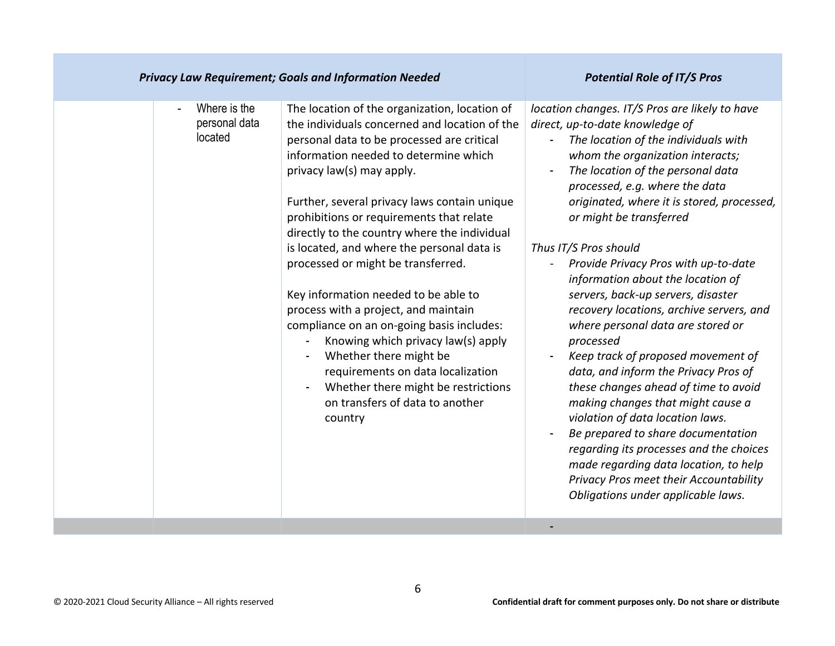| <b>Privacy Law Requirement; Goals and Information Needed</b>         | <b>Potential Role of IT/S Pros</b>                                                                                                                                                                                                                                                                                                                                                                                                                                                                                                                                                                                                                                                                                                                                        |                                                                                                                                                                                                                                                                                                                                                                                                                                                                                                                                                                                                                                                                                                                                                                                                                                                                                                                                                                  |
|----------------------------------------------------------------------|---------------------------------------------------------------------------------------------------------------------------------------------------------------------------------------------------------------------------------------------------------------------------------------------------------------------------------------------------------------------------------------------------------------------------------------------------------------------------------------------------------------------------------------------------------------------------------------------------------------------------------------------------------------------------------------------------------------------------------------------------------------------------|------------------------------------------------------------------------------------------------------------------------------------------------------------------------------------------------------------------------------------------------------------------------------------------------------------------------------------------------------------------------------------------------------------------------------------------------------------------------------------------------------------------------------------------------------------------------------------------------------------------------------------------------------------------------------------------------------------------------------------------------------------------------------------------------------------------------------------------------------------------------------------------------------------------------------------------------------------------|
| Where is the<br>$\overline{\phantom{a}}$<br>personal data<br>located | The location of the organization, location of<br>the individuals concerned and location of the<br>personal data to be processed are critical<br>information needed to determine which<br>privacy law(s) may apply.<br>Further, several privacy laws contain unique<br>prohibitions or requirements that relate<br>directly to the country where the individual<br>is located, and where the personal data is<br>processed or might be transferred.<br>Key information needed to be able to<br>process with a project, and maintain<br>compliance on an on-going basis includes:<br>Knowing which privacy law(s) apply<br>Whether there might be<br>requirements on data localization<br>Whether there might be restrictions<br>on transfers of data to another<br>country | location changes. IT/S Pros are likely to have<br>direct, up-to-date knowledge of<br>The location of the individuals with<br>whom the organization interacts;<br>The location of the personal data<br>processed, e.g. where the data<br>originated, where it is stored, processed,<br>or might be transferred<br>Thus IT/S Pros should<br>Provide Privacy Pros with up-to-date<br>information about the location of<br>servers, back-up servers, disaster<br>recovery locations, archive servers, and<br>where personal data are stored or<br>processed<br>Keep track of proposed movement of<br>data, and inform the Privacy Pros of<br>these changes ahead of time to avoid<br>making changes that might cause a<br>violation of data location laws.<br>Be prepared to share documentation<br>regarding its processes and the choices<br>made regarding data location, to help<br>Privacy Pros meet their Accountability<br>Obligations under applicable laws. |
|                                                                      |                                                                                                                                                                                                                                                                                                                                                                                                                                                                                                                                                                                                                                                                                                                                                                           |                                                                                                                                                                                                                                                                                                                                                                                                                                                                                                                                                                                                                                                                                                                                                                                                                                                                                                                                                                  |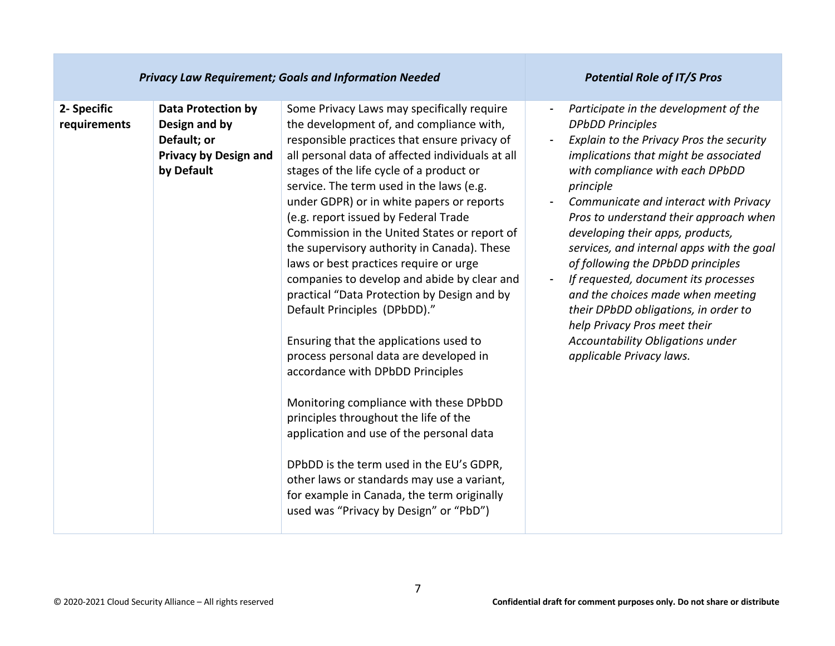| <b>Privacy Law Requirement; Goals and Information Needed</b> |                                                                                                         |                                                                                                                                                                                                                                                                                                                                                                                                                                                                                                                                                                                                                                                                                                                                                                                                                                                                                                                                                                                                                                                                                         | <b>Potential Role of IT/S Pros</b>                                                                                                                                                                                                                                                                                                                                                                                                                                                                                                                                                                                                  |
|--------------------------------------------------------------|---------------------------------------------------------------------------------------------------------|-----------------------------------------------------------------------------------------------------------------------------------------------------------------------------------------------------------------------------------------------------------------------------------------------------------------------------------------------------------------------------------------------------------------------------------------------------------------------------------------------------------------------------------------------------------------------------------------------------------------------------------------------------------------------------------------------------------------------------------------------------------------------------------------------------------------------------------------------------------------------------------------------------------------------------------------------------------------------------------------------------------------------------------------------------------------------------------------|-------------------------------------------------------------------------------------------------------------------------------------------------------------------------------------------------------------------------------------------------------------------------------------------------------------------------------------------------------------------------------------------------------------------------------------------------------------------------------------------------------------------------------------------------------------------------------------------------------------------------------------|
| 2- Specific<br>requirements                                  | <b>Data Protection by</b><br>Design and by<br>Default; or<br><b>Privacy by Design and</b><br>by Default | Some Privacy Laws may specifically require<br>the development of, and compliance with,<br>responsible practices that ensure privacy of<br>all personal data of affected individuals at all<br>stages of the life cycle of a product or<br>service. The term used in the laws (e.g.<br>under GDPR) or in white papers or reports<br>(e.g. report issued by Federal Trade<br>Commission in the United States or report of<br>the supervisory authority in Canada). These<br>laws or best practices require or urge<br>companies to develop and abide by clear and<br>practical "Data Protection by Design and by<br>Default Principles (DPbDD)."<br>Ensuring that the applications used to<br>process personal data are developed in<br>accordance with DPbDD Principles<br>Monitoring compliance with these DPbDD<br>principles throughout the life of the<br>application and use of the personal data<br>DPbDD is the term used in the EU's GDPR,<br>other laws or standards may use a variant,<br>for example in Canada, the term originally<br>used was "Privacy by Design" or "PbD") | Participate in the development of the<br><b>DPbDD Principles</b><br>Explain to the Privacy Pros the security<br>implications that might be associated<br>with compliance with each DPbDD<br>principle<br>Communicate and interact with Privacy<br>Pros to understand their approach when<br>developing their apps, products,<br>services, and internal apps with the goal<br>of following the DPbDD principles<br>If requested, document its processes<br>and the choices made when meeting<br>their DPbDD obligations, in order to<br>help Privacy Pros meet their<br>Accountability Obligations under<br>applicable Privacy laws. |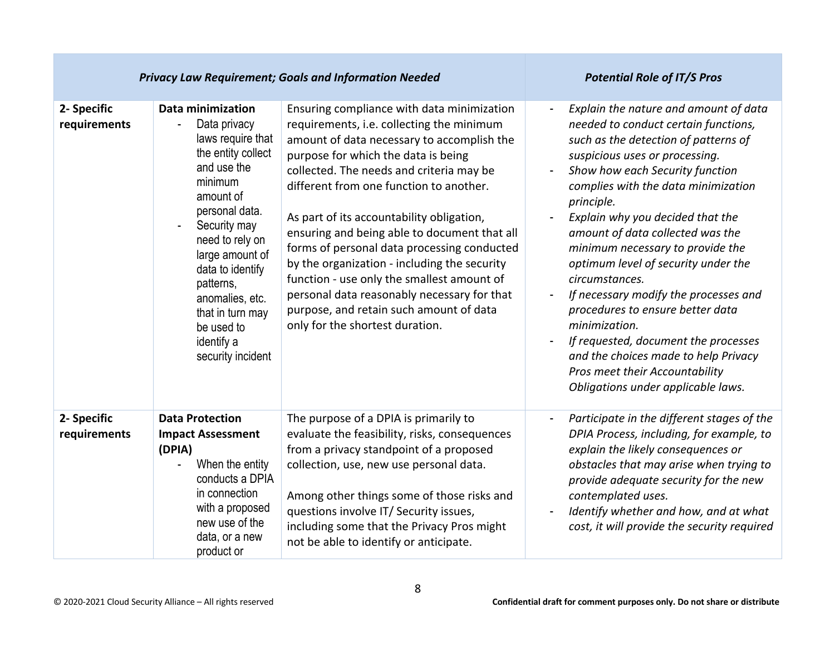|                             |                                                                                                                                                                                                                                                                                                                      | <b>Privacy Law Requirement; Goals and Information Needed</b>                                                                                                                                                                                                                                                                                                                                                                                                                                                                                                                                                                               | <b>Potential Role of IT/S Pros</b>                                                                                                                                                                                                                                                                                                                                                                                                                                                                                                                                                                                                                                                                     |
|-----------------------------|----------------------------------------------------------------------------------------------------------------------------------------------------------------------------------------------------------------------------------------------------------------------------------------------------------------------|--------------------------------------------------------------------------------------------------------------------------------------------------------------------------------------------------------------------------------------------------------------------------------------------------------------------------------------------------------------------------------------------------------------------------------------------------------------------------------------------------------------------------------------------------------------------------------------------------------------------------------------------|--------------------------------------------------------------------------------------------------------------------------------------------------------------------------------------------------------------------------------------------------------------------------------------------------------------------------------------------------------------------------------------------------------------------------------------------------------------------------------------------------------------------------------------------------------------------------------------------------------------------------------------------------------------------------------------------------------|
| 2- Specific<br>requirements | Data minimization<br>Data privacy<br>laws require that<br>the entity collect<br>and use the<br>minimum<br>amount of<br>personal data.<br>Security may<br>need to rely on<br>large amount of<br>data to identify<br>patterns,<br>anomalies, etc.<br>that in turn may<br>be used to<br>identify a<br>security incident | Ensuring compliance with data minimization<br>requirements, i.e. collecting the minimum<br>amount of data necessary to accomplish the<br>purpose for which the data is being<br>collected. The needs and criteria may be<br>different from one function to another.<br>As part of its accountability obligation,<br>ensuring and being able to document that all<br>forms of personal data processing conducted<br>by the organization - including the security<br>function - use only the smallest amount of<br>personal data reasonably necessary for that<br>purpose, and retain such amount of data<br>only for the shortest duration. | Explain the nature and amount of data<br>needed to conduct certain functions,<br>such as the detection of patterns of<br>suspicious uses or processing.<br>Show how each Security function<br>complies with the data minimization<br>principle.<br>Explain why you decided that the<br>amount of data collected was the<br>minimum necessary to provide the<br>optimum level of security under the<br>circumstances.<br>If necessary modify the processes and<br>$\overline{\phantom{m}}$<br>procedures to ensure better data<br>minimization.<br>If requested, document the processes<br>and the choices made to help Privacy<br>Pros meet their Accountability<br>Obligations under applicable laws. |
| 2- Specific<br>requirements | <b>Data Protection</b><br><b>Impact Assessment</b><br>(DPIA)<br>When the entity<br>conducts a DPIA<br>in connection<br>with a proposed<br>new use of the<br>data, or a new<br>product or                                                                                                                             | The purpose of a DPIA is primarily to<br>evaluate the feasibility, risks, consequences<br>from a privacy standpoint of a proposed<br>collection, use, new use personal data.<br>Among other things some of those risks and<br>questions involve IT/ Security issues,<br>including some that the Privacy Pros might<br>not be able to identify or anticipate.                                                                                                                                                                                                                                                                               | Participate in the different stages of the<br>DPIA Process, including, for example, to<br>explain the likely consequences or<br>obstacles that may arise when trying to<br>provide adequate security for the new<br>contemplated uses.<br>Identify whether and how, and at what<br>cost, it will provide the security required                                                                                                                                                                                                                                                                                                                                                                         |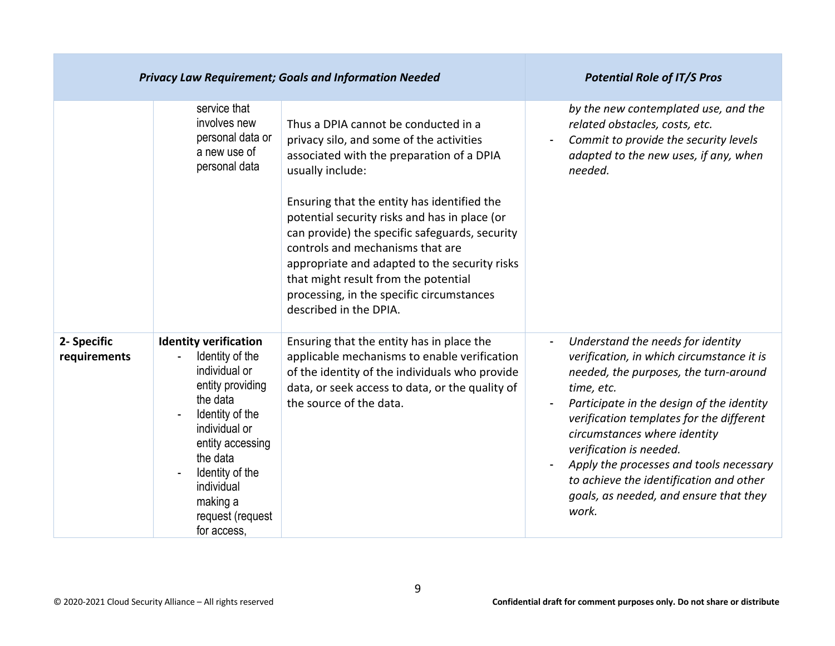| <b>Privacy Law Requirement; Goals and Information Needed</b> |                                                                                                                                                                                                                                                      |                                                                                                                                                                                                                                                                                                                                                                                                                                                                                                         | <b>Potential Role of IT/S Pros</b>                                                                                                                                                                                                                                                                                                                                                                                                                             |
|--------------------------------------------------------------|------------------------------------------------------------------------------------------------------------------------------------------------------------------------------------------------------------------------------------------------------|---------------------------------------------------------------------------------------------------------------------------------------------------------------------------------------------------------------------------------------------------------------------------------------------------------------------------------------------------------------------------------------------------------------------------------------------------------------------------------------------------------|----------------------------------------------------------------------------------------------------------------------------------------------------------------------------------------------------------------------------------------------------------------------------------------------------------------------------------------------------------------------------------------------------------------------------------------------------------------|
|                                                              | service that<br>involves new<br>personal data or<br>a new use of<br>personal data                                                                                                                                                                    | Thus a DPIA cannot be conducted in a<br>privacy silo, and some of the activities<br>associated with the preparation of a DPIA<br>usually include:<br>Ensuring that the entity has identified the<br>potential security risks and has in place (or<br>can provide) the specific safeguards, security<br>controls and mechanisms that are<br>appropriate and adapted to the security risks<br>that might result from the potential<br>processing, in the specific circumstances<br>described in the DPIA. | by the new contemplated use, and the<br>related obstacles, costs, etc.<br>Commit to provide the security levels<br>adapted to the new uses, if any, when<br>needed.                                                                                                                                                                                                                                                                                            |
| 2- Specific<br>requirements                                  | <b>Identity verification</b><br>Identity of the<br>individual or<br>entity providing<br>the data<br>Identity of the<br>individual or<br>entity accessing<br>the data<br>Identity of the<br>individual<br>making a<br>request (request<br>for access. | Ensuring that the entity has in place the<br>applicable mechanisms to enable verification<br>of the identity of the individuals who provide<br>data, or seek access to data, or the quality of<br>the source of the data.                                                                                                                                                                                                                                                                               | Understand the needs for identity<br>$\overline{\phantom{a}}$<br>verification, in which circumstance it is<br>needed, the purposes, the turn-around<br>time, etc.<br>Participate in the design of the identity<br>verification templates for the different<br>circumstances where identity<br>verification is needed.<br>Apply the processes and tools necessary<br>to achieve the identification and other<br>goals, as needed, and ensure that they<br>work. |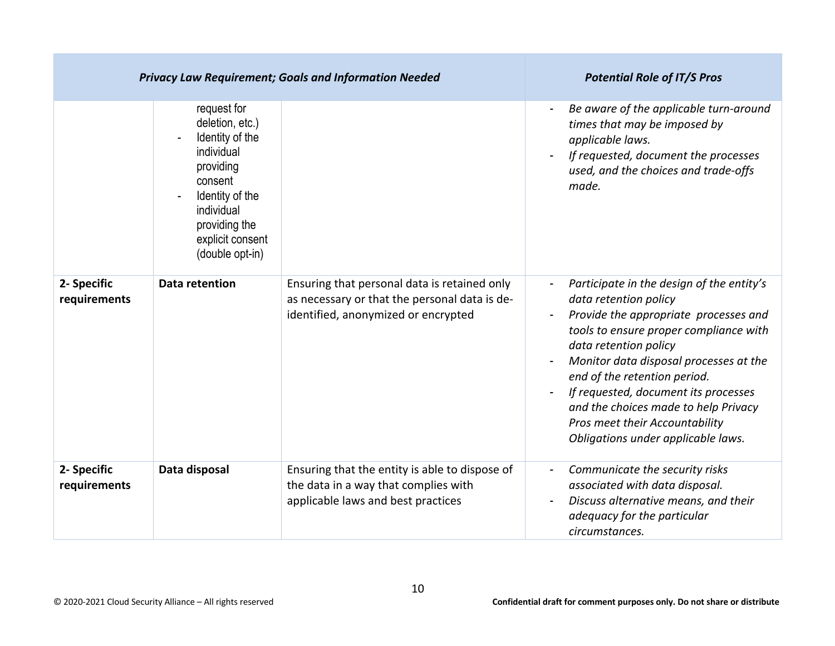| <b>Privacy Law Requirement; Goals and Information Needed</b> |                                                                                                                                                                                  |                                                                                                                                      | <b>Potential Role of IT/S Pros</b>                                                                                                                                                                                                                                                                                                                                                                               |
|--------------------------------------------------------------|----------------------------------------------------------------------------------------------------------------------------------------------------------------------------------|--------------------------------------------------------------------------------------------------------------------------------------|------------------------------------------------------------------------------------------------------------------------------------------------------------------------------------------------------------------------------------------------------------------------------------------------------------------------------------------------------------------------------------------------------------------|
|                                                              | request for<br>deletion, etc.)<br>Identity of the<br>individual<br>providing<br>consent<br>Identity of the<br>individual<br>providing the<br>explicit consent<br>(double opt-in) |                                                                                                                                      | Be aware of the applicable turn-around<br>times that may be imposed by<br>applicable laws.<br>If requested, document the processes<br>used, and the choices and trade-offs<br>made.                                                                                                                                                                                                                              |
| 2- Specific<br>requirements                                  | <b>Data retention</b>                                                                                                                                                            | Ensuring that personal data is retained only<br>as necessary or that the personal data is de-<br>identified, anonymized or encrypted | Participate in the design of the entity's<br>data retention policy<br>Provide the appropriate processes and<br>tools to ensure proper compliance with<br>data retention policy<br>Monitor data disposal processes at the<br>end of the retention period.<br>If requested, document its processes<br>and the choices made to help Privacy<br>Pros meet their Accountability<br>Obligations under applicable laws. |
| 2- Specific<br>requirements                                  | Data disposal                                                                                                                                                                    | Ensuring that the entity is able to dispose of<br>the data in a way that complies with<br>applicable laws and best practices         | Communicate the security risks<br>associated with data disposal.<br>Discuss alternative means, and their<br>adequacy for the particular<br>circumstances.                                                                                                                                                                                                                                                        |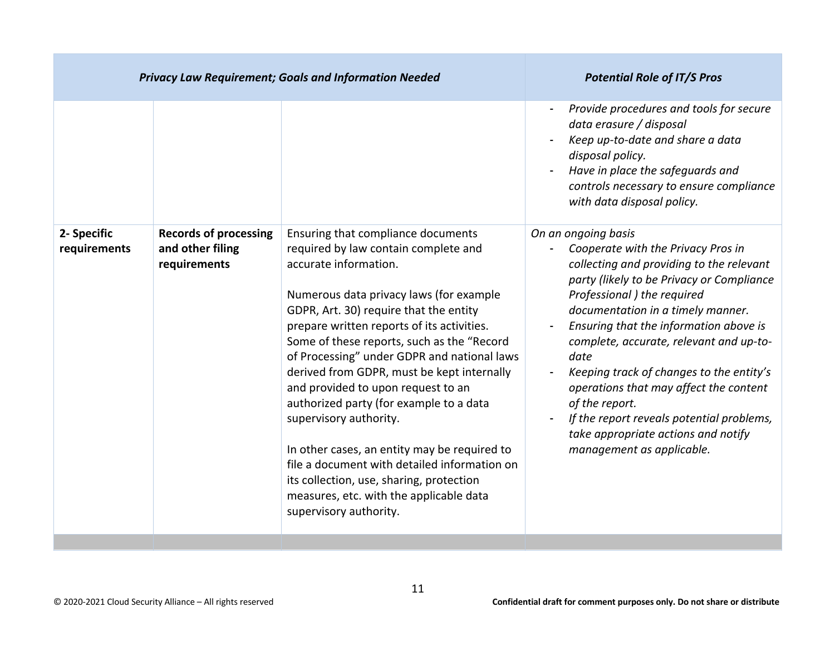|                             |                                                                  |                                                                                                                                                                                                                                                                                                                                                                                                                                                                                                                                                                                                                                                                                                               | Provide procedures and tools for secure<br>data erasure / disposal<br>Keep up-to-date and share a data<br>disposal policy.<br>Have in place the safeguards and<br>controls necessary to ensure compliance<br>with data disposal policy.                                                                                                                                                                                                                                                                                                      |
|-----------------------------|------------------------------------------------------------------|---------------------------------------------------------------------------------------------------------------------------------------------------------------------------------------------------------------------------------------------------------------------------------------------------------------------------------------------------------------------------------------------------------------------------------------------------------------------------------------------------------------------------------------------------------------------------------------------------------------------------------------------------------------------------------------------------------------|----------------------------------------------------------------------------------------------------------------------------------------------------------------------------------------------------------------------------------------------------------------------------------------------------------------------------------------------------------------------------------------------------------------------------------------------------------------------------------------------------------------------------------------------|
| 2- Specific<br>requirements | <b>Records of processing</b><br>and other filing<br>requirements | Ensuring that compliance documents<br>required by law contain complete and<br>accurate information.<br>Numerous data privacy laws (for example<br>GDPR, Art. 30) require that the entity<br>prepare written reports of its activities.<br>Some of these reports, such as the "Record<br>of Processing" under GDPR and national laws<br>derived from GDPR, must be kept internally<br>and provided to upon request to an<br>authorized party (for example to a data<br>supervisory authority.<br>In other cases, an entity may be required to<br>file a document with detailed information on<br>its collection, use, sharing, protection<br>measures, etc. with the applicable data<br>supervisory authority. | On an ongoing basis<br>Cooperate with the Privacy Pros in<br>collecting and providing to the relevant<br>party (likely to be Privacy or Compliance<br>Professional ) the required<br>documentation in a timely manner.<br>Ensuring that the information above is<br>complete, accurate, relevant and up-to-<br>date<br>Keeping track of changes to the entity's<br>operations that may affect the content<br>of the report.<br>If the report reveals potential problems,<br>take appropriate actions and notify<br>management as applicable. |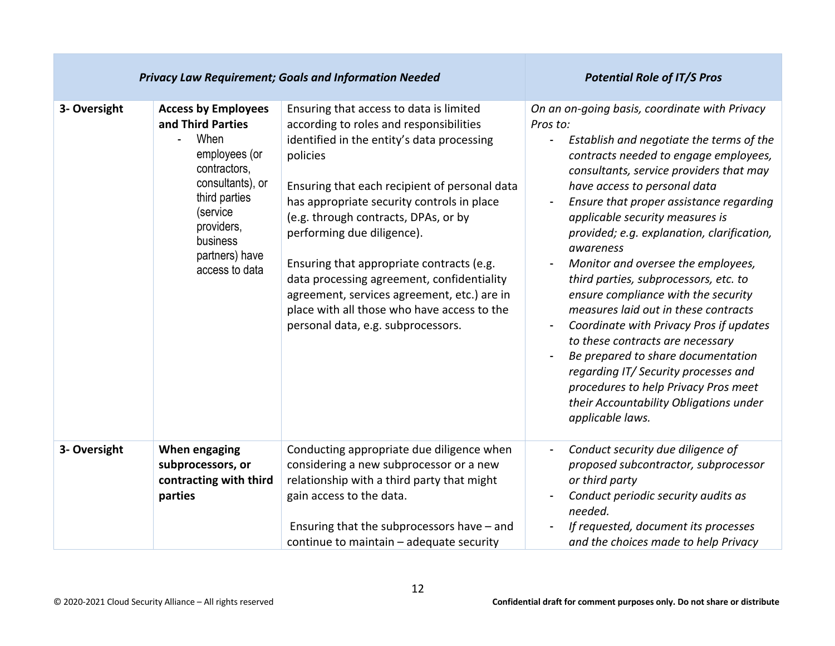| <b>Privacy Law Requirement; Goals and Information Needed</b> |                                                                                                                                                                                                         |                                                                                                                                                                                                                                                                                                                                                                                                                                                                                                                                                  | <b>Potential Role of IT/S Pros</b>                                                                                                                                                                                                                                                                                                                                                                                                                                                                                                                                                                                                                                                                                                                                                                 |
|--------------------------------------------------------------|---------------------------------------------------------------------------------------------------------------------------------------------------------------------------------------------------------|--------------------------------------------------------------------------------------------------------------------------------------------------------------------------------------------------------------------------------------------------------------------------------------------------------------------------------------------------------------------------------------------------------------------------------------------------------------------------------------------------------------------------------------------------|----------------------------------------------------------------------------------------------------------------------------------------------------------------------------------------------------------------------------------------------------------------------------------------------------------------------------------------------------------------------------------------------------------------------------------------------------------------------------------------------------------------------------------------------------------------------------------------------------------------------------------------------------------------------------------------------------------------------------------------------------------------------------------------------------|
| 3- Oversight                                                 | <b>Access by Employees</b><br>and Third Parties<br>When<br>employees (or<br>contractors,<br>consultants), or<br>third parties<br>(service<br>providers,<br>business<br>partners) have<br>access to data | Ensuring that access to data is limited<br>according to roles and responsibilities<br>identified in the entity's data processing<br>policies<br>Ensuring that each recipient of personal data<br>has appropriate security controls in place<br>(e.g. through contracts, DPAs, or by<br>performing due diligence).<br>Ensuring that appropriate contracts (e.g.<br>data processing agreement, confidentiality<br>agreement, services agreement, etc.) are in<br>place with all those who have access to the<br>personal data, e.g. subprocessors. | On an on-going basis, coordinate with Privacy<br>Pros to:<br>Establish and negotiate the terms of the<br>contracts needed to engage employees,<br>consultants, service providers that may<br>have access to personal data<br>Ensure that proper assistance regarding<br>applicable security measures is<br>provided; e.g. explanation, clarification,<br>awareness<br>Monitor and oversee the employees,<br>third parties, subprocessors, etc. to<br>ensure compliance with the security<br>measures laid out in these contracts<br>Coordinate with Privacy Pros if updates<br>to these contracts are necessary<br>Be prepared to share documentation<br>regarding IT/Security processes and<br>procedures to help Privacy Pros meet<br>their Accountability Obligations under<br>applicable laws. |
| 3- Oversight                                                 | When engaging<br>subprocessors, or<br>contracting with third<br>parties                                                                                                                                 | Conducting appropriate due diligence when<br>considering a new subprocessor or a new<br>relationship with a third party that might<br>gain access to the data.<br>Ensuring that the subprocessors have - and<br>continue to maintain - adequate security                                                                                                                                                                                                                                                                                         | Conduct security due diligence of<br>$\blacksquare$<br>proposed subcontractor, subprocessor<br>or third party<br>Conduct periodic security audits as<br>needed.<br>If requested, document its processes<br>and the choices made to help Privacy                                                                                                                                                                                                                                                                                                                                                                                                                                                                                                                                                    |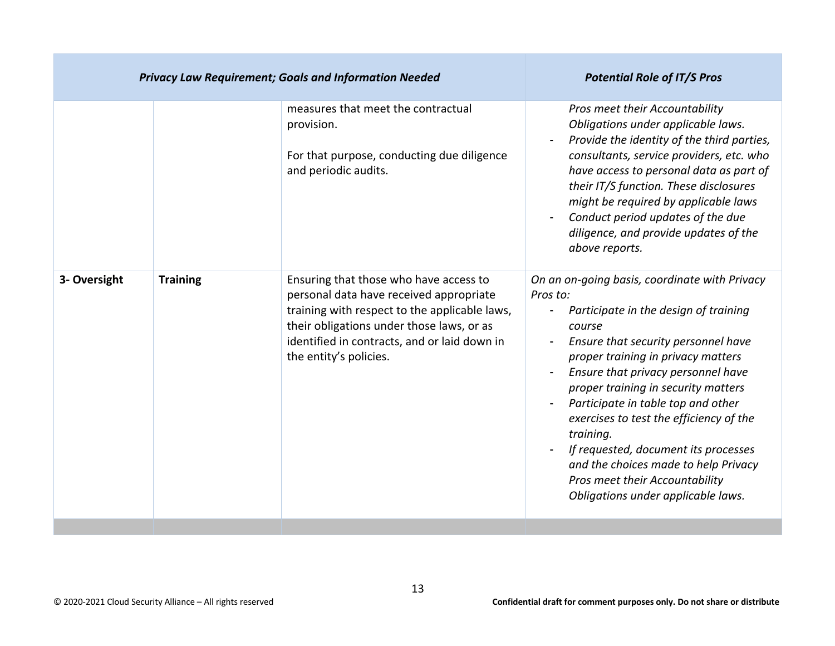| <b>Privacy Law Requirement; Goals and Information Needed</b> |                 |                                                                                                                                                                                                                                                           | <b>Potential Role of IT/S Pros</b>                                                                                                                                                                                                                                                                                                                                                                                                                                                                                           |
|--------------------------------------------------------------|-----------------|-----------------------------------------------------------------------------------------------------------------------------------------------------------------------------------------------------------------------------------------------------------|------------------------------------------------------------------------------------------------------------------------------------------------------------------------------------------------------------------------------------------------------------------------------------------------------------------------------------------------------------------------------------------------------------------------------------------------------------------------------------------------------------------------------|
|                                                              |                 | measures that meet the contractual<br>provision.<br>For that purpose, conducting due diligence<br>and periodic audits.                                                                                                                                    | Pros meet their Accountability<br>Obligations under applicable laws.<br>Provide the identity of the third parties,<br>consultants, service providers, etc. who<br>have access to personal data as part of<br>their IT/S function. These disclosures<br>might be required by applicable laws<br>Conduct period updates of the due<br>diligence, and provide updates of the<br>above reports.                                                                                                                                  |
| 3- Oversight                                                 | <b>Training</b> | Ensuring that those who have access to<br>personal data have received appropriate<br>training with respect to the applicable laws,<br>their obligations under those laws, or as<br>identified in contracts, and or laid down in<br>the entity's policies. | On an on-going basis, coordinate with Privacy<br>Pros to:<br>Participate in the design of training<br>course<br>Ensure that security personnel have<br>proper training in privacy matters<br>Ensure that privacy personnel have<br>proper training in security matters<br>Participate in table top and other<br>exercises to test the efficiency of the<br>training.<br>If requested, document its processes<br>and the choices made to help Privacy<br>Pros meet their Accountability<br>Obligations under applicable laws. |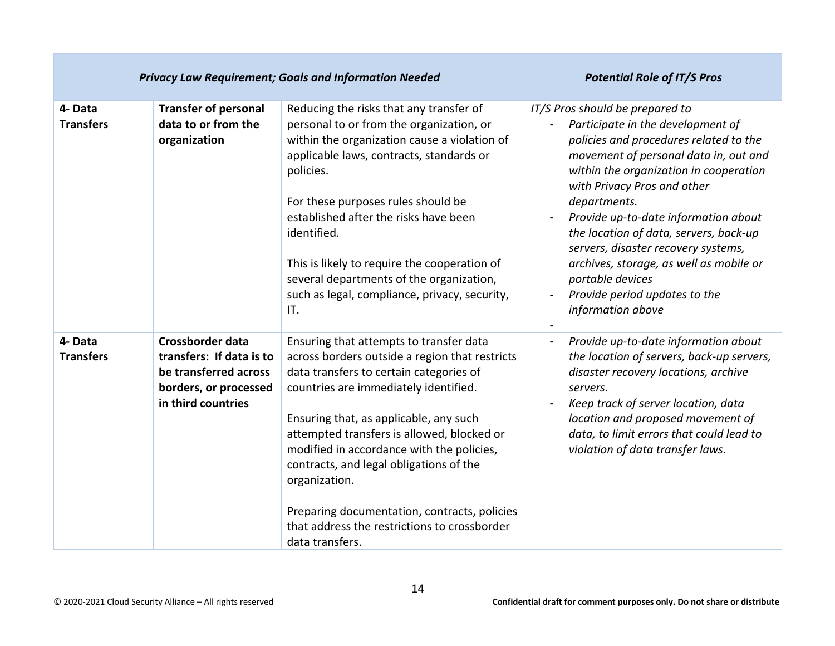| <b>Privacy Law Requirement; Goals and Information Needed</b> |                                                                                                                             |                                                                                                                                                                                                                                                                                                                                                                                                                                                                                                   | <b>Potential Role of IT/S Pros</b>                                                                                                                                                                                                                                                                                                                                                                                                                                                             |
|--------------------------------------------------------------|-----------------------------------------------------------------------------------------------------------------------------|---------------------------------------------------------------------------------------------------------------------------------------------------------------------------------------------------------------------------------------------------------------------------------------------------------------------------------------------------------------------------------------------------------------------------------------------------------------------------------------------------|------------------------------------------------------------------------------------------------------------------------------------------------------------------------------------------------------------------------------------------------------------------------------------------------------------------------------------------------------------------------------------------------------------------------------------------------------------------------------------------------|
| 4- Data<br><b>Transfers</b>                                  | <b>Transfer of personal</b><br>data to or from the<br>organization                                                          | Reducing the risks that any transfer of<br>personal to or from the organization, or<br>within the organization cause a violation of<br>applicable laws, contracts, standards or<br>policies.<br>For these purposes rules should be<br>established after the risks have been<br>identified.<br>This is likely to require the cooperation of<br>several departments of the organization,<br>such as legal, compliance, privacy, security,<br>IT.                                                    | IT/S Pros should be prepared to<br>Participate in the development of<br>policies and procedures related to the<br>movement of personal data in, out and<br>within the organization in cooperation<br>with Privacy Pros and other<br>departments.<br>Provide up-to-date information about<br>the location of data, servers, back-up<br>servers, disaster recovery systems,<br>archives, storage, as well as mobile or<br>portable devices<br>Provide period updates to the<br>information above |
| 4-Data<br><b>Transfers</b>                                   | <b>Crossborder data</b><br>transfers: If data is to<br>be transferred across<br>borders, or processed<br>in third countries | Ensuring that attempts to transfer data<br>across borders outside a region that restricts<br>data transfers to certain categories of<br>countries are immediately identified.<br>Ensuring that, as applicable, any such<br>attempted transfers is allowed, blocked or<br>modified in accordance with the policies,<br>contracts, and legal obligations of the<br>organization.<br>Preparing documentation, contracts, policies<br>that address the restrictions to crossborder<br>data transfers. | Provide up-to-date information about<br>$\blacksquare$<br>the location of servers, back-up servers,<br>disaster recovery locations, archive<br>servers.<br>Keep track of server location, data<br>location and proposed movement of<br>data, to limit errors that could lead to<br>violation of data transfer laws.                                                                                                                                                                            |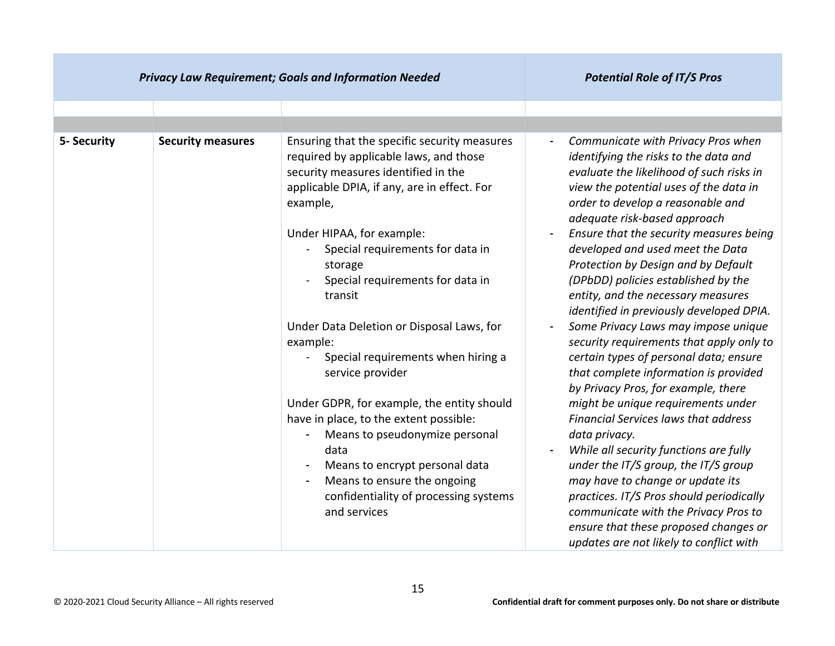| <b>Privacy Law Requirement; Goals and Information Needed</b> |                          | <b>Potential Role of IT/S Pros</b>                                                                                                                                                                                                                                                                                                                                                                                                                                                                                                                                                                                                                                                                 |                                                                                                                                                                                                                                                                                                                                                                                                                                                                                                                                                                                                                                                                                                                                                                                                                                                                                                                                                                                                                                                                                                        |
|--------------------------------------------------------------|--------------------------|----------------------------------------------------------------------------------------------------------------------------------------------------------------------------------------------------------------------------------------------------------------------------------------------------------------------------------------------------------------------------------------------------------------------------------------------------------------------------------------------------------------------------------------------------------------------------------------------------------------------------------------------------------------------------------------------------|--------------------------------------------------------------------------------------------------------------------------------------------------------------------------------------------------------------------------------------------------------------------------------------------------------------------------------------------------------------------------------------------------------------------------------------------------------------------------------------------------------------------------------------------------------------------------------------------------------------------------------------------------------------------------------------------------------------------------------------------------------------------------------------------------------------------------------------------------------------------------------------------------------------------------------------------------------------------------------------------------------------------------------------------------------------------------------------------------------|
|                                                              |                          |                                                                                                                                                                                                                                                                                                                                                                                                                                                                                                                                                                                                                                                                                                    |                                                                                                                                                                                                                                                                                                                                                                                                                                                                                                                                                                                                                                                                                                                                                                                                                                                                                                                                                                                                                                                                                                        |
| 5- Security                                                  | <b>Security measures</b> | Ensuring that the specific security measures<br>required by applicable laws, and those<br>security measures identified in the<br>applicable DPIA, if any, are in effect. For<br>example,<br>Under HIPAA, for example:<br>Special requirements for data in<br>storage<br>Special requirements for data in<br>transit<br>Under Data Deletion or Disposal Laws, for<br>example:<br>Special requirements when hiring a<br>service provider<br>Under GDPR, for example, the entity should<br>have in place, to the extent possible:<br>Means to pseudonymize personal<br>data<br>Means to encrypt personal data<br>Means to ensure the ongoing<br>confidentiality of processing systems<br>and services | Communicate with Privacy Pros when<br>identifying the risks to the data and<br>evaluate the likelihood of such risks in<br>view the potential uses of the data in<br>order to develop a reasonable and<br>adequate risk-based approach<br>Ensure that the security measures being<br>developed and used meet the Data<br>Protection by Design and by Default<br>(DPbDD) policies established by the<br>entity, and the necessary measures<br>identified in previously developed DPIA.<br>Some Privacy Laws may impose unique<br>security requirements that apply only to<br>certain types of personal data; ensure<br>that complete information is provided<br>by Privacy Pros, for example, there<br>might be unique requirements under<br><b>Financial Services laws that address</b><br>data privacy.<br>While all security functions are fully<br>under the IT/S group, the IT/S group<br>may have to change or update its<br>practices. IT/S Pros should periodically<br>communicate with the Privacy Pros to<br>ensure that these proposed changes or<br>updates are not likely to conflict with |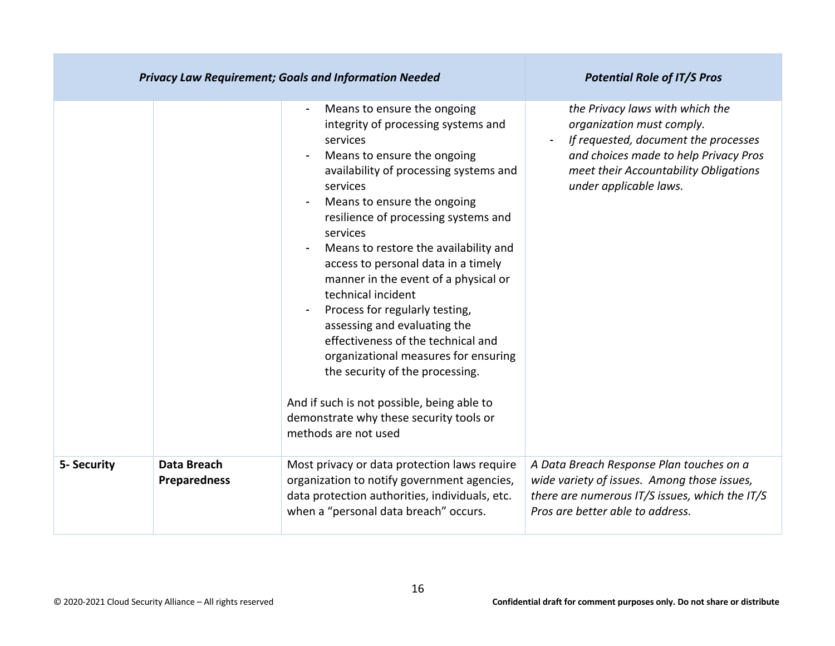|             | <b>Privacy Law Requirement; Goals and Information Needed</b> | <b>Potential Role of IT/S Pros</b>                                                                                                                                                                                                                                                                                                                                                                                                                                                                                                                                                                                                                                                                       |                                                                                                                                                                                                                  |
|-------------|--------------------------------------------------------------|----------------------------------------------------------------------------------------------------------------------------------------------------------------------------------------------------------------------------------------------------------------------------------------------------------------------------------------------------------------------------------------------------------------------------------------------------------------------------------------------------------------------------------------------------------------------------------------------------------------------------------------------------------------------------------------------------------|------------------------------------------------------------------------------------------------------------------------------------------------------------------------------------------------------------------|
|             |                                                              | Means to ensure the ongoing<br>integrity of processing systems and<br>services<br>Means to ensure the ongoing<br>availability of processing systems and<br>services<br>Means to ensure the ongoing<br>resilience of processing systems and<br>services<br>Means to restore the availability and<br>access to personal data in a timely<br>manner in the event of a physical or<br>technical incident<br>Process for regularly testing,<br>assessing and evaluating the<br>effectiveness of the technical and<br>organizational measures for ensuring<br>the security of the processing.<br>And if such is not possible, being able to<br>demonstrate why these security tools or<br>methods are not used | the Privacy laws with which the<br>organization must comply.<br>If requested, document the processes<br>and choices made to help Privacy Pros<br>meet their Accountability Obligations<br>under applicable laws. |
| 5- Security | Data Breach<br><b>Preparedness</b>                           | Most privacy or data protection laws require<br>organization to notify government agencies,<br>data protection authorities, individuals, etc.<br>when a "personal data breach" occurs.                                                                                                                                                                                                                                                                                                                                                                                                                                                                                                                   | A Data Breach Response Plan touches on a<br>wide variety of issues. Among those issues,<br>there are numerous IT/S issues, which the IT/S<br>Pros are better able to address.                                    |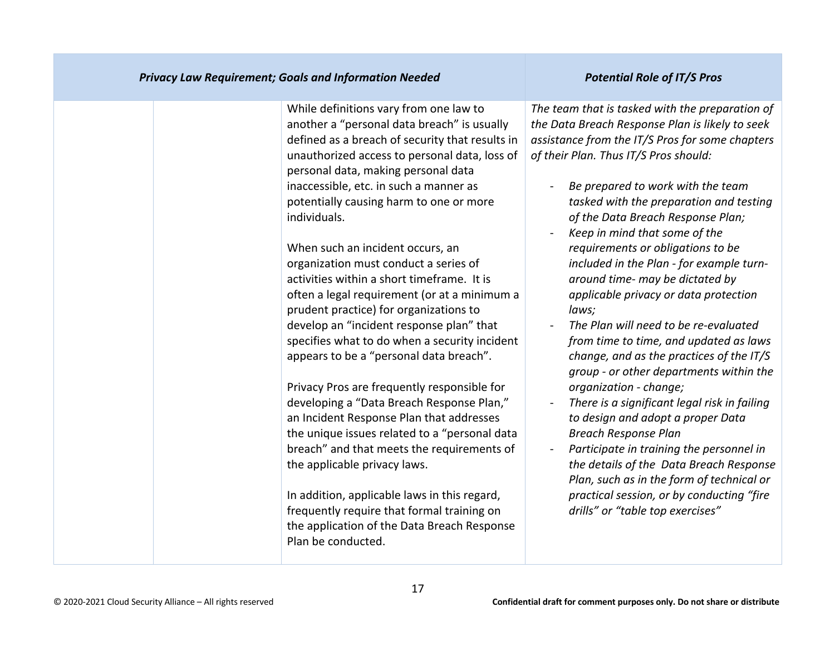| <b>Privacy Law Requirement; Goals and Information Needed</b> | <b>Potential Role of IT/S Pros</b>              |
|--------------------------------------------------------------|-------------------------------------------------|
| While definitions vary from one law to                       | The team that is tasked with the preparation of |
| another a "personal data breach" is usually                  | the Data Breach Response Plan is likely to seek |
| defined as a breach of security that results in              | assistance from the IT/S Pros for some chapters |
| unauthorized access to personal data, loss of                | of their Plan. Thus IT/S Pros should:           |
| personal data, making personal data                          | Be prepared to work with the team               |
| inaccessible, etc. in such a manner as                       | tasked with the preparation and testing         |
| potentially causing harm to one or more                      | of the Data Breach Response Plan;               |
| individuals.                                                 | Keep in mind that some of the                   |
| When such an incident occurs, an                             | requirements or obligations to be               |
| organization must conduct a series of                        | included in the Plan - for example turn-        |
| activities within a short timeframe. It is                   | around time- may be dictated by                 |
| often a legal requirement (or at a minimum a                 | applicable privacy or data protection           |
| prudent practice) for organizations to                       | laws;                                           |
| develop an "incident response plan" that                     | The Plan will need to be re-evaluated           |
| specifies what to do when a security incident                | from time to time, and updated as laws          |
| appears to be a "personal data breach".                      | change, and as the practices of the IT/S        |
| Privacy Pros are frequently responsible for                  | group - or other departments within the         |
| developing a "Data Breach Response Plan,"                    | organization - change;                          |
| an Incident Response Plan that addresses                     | There is a significant legal risk in failing    |
| the unique issues related to a "personal data                | to design and adopt a proper Data               |
| breach" and that meets the requirements of                   | <b>Breach Response Plan</b>                     |
| the applicable privacy laws.                                 | Participate in training the personnel in        |
| In addition, applicable laws in this regard,                 | the details of the Data Breach Response         |
| frequently require that formal training on                   | Plan, such as in the form of technical or       |
| the application of the Data Breach Response                  | practical session, or by conducting "fire       |
| Plan be conducted.                                           | drills" or "table top exercises"                |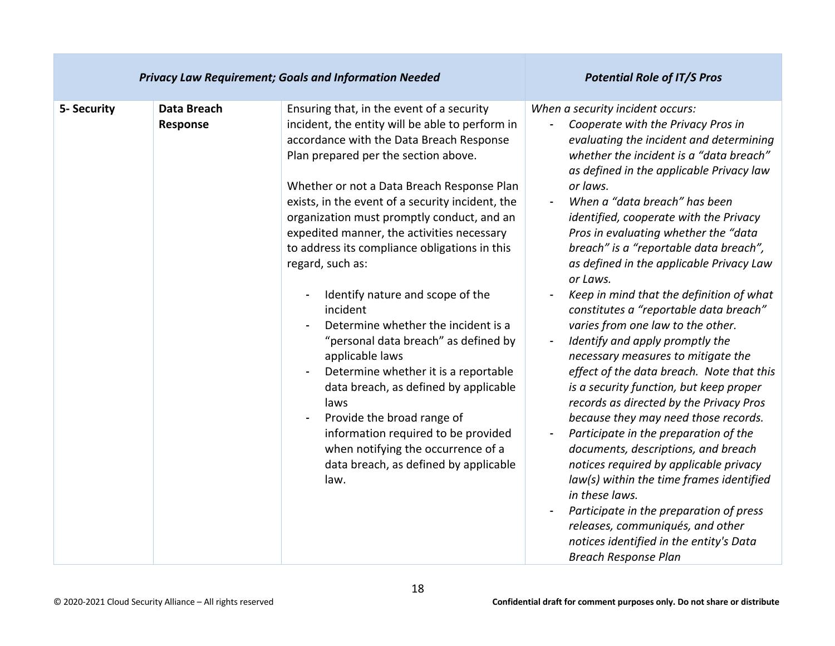| <b>Privacy Law Requirement; Goals and Information Needed</b> |                         |                                                                                                                                                                                                                                                                                                                                                                                                                                                                                                                                                                                                                                                                                                                                                                                                                                                            | <b>Potential Role of IT/S Pros</b>                                                                                                                                                                                                                                                                                                                                                                                                                                                                                                                                                                                                                                                                                                                                                                                                                                                                                                                                                                                                                                                                                                                                        |
|--------------------------------------------------------------|-------------------------|------------------------------------------------------------------------------------------------------------------------------------------------------------------------------------------------------------------------------------------------------------------------------------------------------------------------------------------------------------------------------------------------------------------------------------------------------------------------------------------------------------------------------------------------------------------------------------------------------------------------------------------------------------------------------------------------------------------------------------------------------------------------------------------------------------------------------------------------------------|---------------------------------------------------------------------------------------------------------------------------------------------------------------------------------------------------------------------------------------------------------------------------------------------------------------------------------------------------------------------------------------------------------------------------------------------------------------------------------------------------------------------------------------------------------------------------------------------------------------------------------------------------------------------------------------------------------------------------------------------------------------------------------------------------------------------------------------------------------------------------------------------------------------------------------------------------------------------------------------------------------------------------------------------------------------------------------------------------------------------------------------------------------------------------|
| 5- Security                                                  | Data Breach<br>Response | Ensuring that, in the event of a security<br>incident, the entity will be able to perform in<br>accordance with the Data Breach Response<br>Plan prepared per the section above.<br>Whether or not a Data Breach Response Plan<br>exists, in the event of a security incident, the<br>organization must promptly conduct, and an<br>expedited manner, the activities necessary<br>to address its compliance obligations in this<br>regard, such as:<br>Identify nature and scope of the<br>incident<br>Determine whether the incident is a<br>"personal data breach" as defined by<br>applicable laws<br>Determine whether it is a reportable<br>data breach, as defined by applicable<br>laws<br>Provide the broad range of<br>information required to be provided<br>when notifying the occurrence of a<br>data breach, as defined by applicable<br>law. | When a security incident occurs:<br>Cooperate with the Privacy Pros in<br>evaluating the incident and determining<br>whether the incident is a "data breach"<br>as defined in the applicable Privacy law<br>or laws.<br>When a "data breach" has been<br>identified, cooperate with the Privacy<br>Pros in evaluating whether the "data<br>breach" is a "reportable data breach",<br>as defined in the applicable Privacy Law<br>or Laws.<br>Keep in mind that the definition of what<br>constitutes a "reportable data breach"<br>varies from one law to the other.<br>Identify and apply promptly the<br>necessary measures to mitigate the<br>effect of the data breach. Note that this<br>is a security function, but keep proper<br>records as directed by the Privacy Pros<br>because they may need those records.<br>Participate in the preparation of the<br>documents, descriptions, and breach<br>notices required by applicable privacy<br>law(s) within the time frames identified<br>in these laws.<br>Participate in the preparation of press<br>releases, communiqués, and other<br>notices identified in the entity's Data<br><b>Breach Response Plan</b> |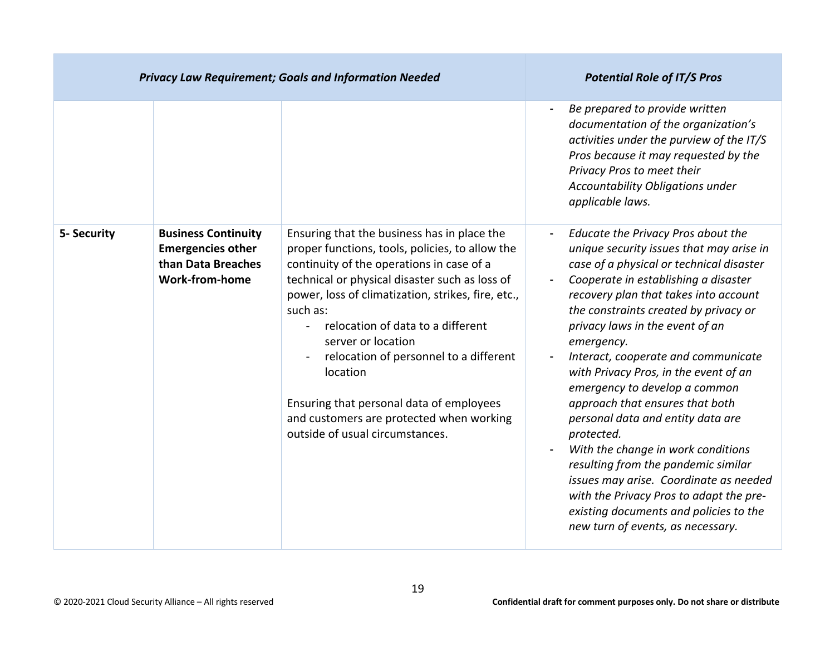|             | <b>Privacy Law Requirement; Goals and Information Needed</b>                                          | <b>Potential Role of IT/S Pros</b>                                                                                                                                                                                                                                                                                                                                                                                                                                                                          |                                                                                                                                                                                                                                                                                                                                                                                                                                                                                                                                                                                                                                                                                                                                                               |
|-------------|-------------------------------------------------------------------------------------------------------|-------------------------------------------------------------------------------------------------------------------------------------------------------------------------------------------------------------------------------------------------------------------------------------------------------------------------------------------------------------------------------------------------------------------------------------------------------------------------------------------------------------|---------------------------------------------------------------------------------------------------------------------------------------------------------------------------------------------------------------------------------------------------------------------------------------------------------------------------------------------------------------------------------------------------------------------------------------------------------------------------------------------------------------------------------------------------------------------------------------------------------------------------------------------------------------------------------------------------------------------------------------------------------------|
|             |                                                                                                       |                                                                                                                                                                                                                                                                                                                                                                                                                                                                                                             | Be prepared to provide written<br>documentation of the organization's<br>activities under the purview of the IT/S<br>Pros because it may requested by the<br>Privacy Pros to meet their<br>Accountability Obligations under<br>applicable laws.                                                                                                                                                                                                                                                                                                                                                                                                                                                                                                               |
| 5- Security | <b>Business Continuity</b><br><b>Emergencies other</b><br>than Data Breaches<br><b>Work-from-home</b> | Ensuring that the business has in place the<br>proper functions, tools, policies, to allow the<br>continuity of the operations in case of a<br>technical or physical disaster such as loss of<br>power, loss of climatization, strikes, fire, etc.,<br>such as:<br>relocation of data to a different<br>server or location<br>relocation of personnel to a different<br>location<br>Ensuring that personal data of employees<br>and customers are protected when working<br>outside of usual circumstances. | Educate the Privacy Pros about the<br>unique security issues that may arise in<br>case of a physical or technical disaster<br>Cooperate in establishing a disaster<br>recovery plan that takes into account<br>the constraints created by privacy or<br>privacy laws in the event of an<br>emergency.<br>Interact, cooperate and communicate<br>with Privacy Pros, in the event of an<br>emergency to develop a common<br>approach that ensures that both<br>personal data and entity data are<br>protected.<br>With the change in work conditions<br>resulting from the pandemic similar<br>issues may arise. Coordinate as needed<br>with the Privacy Pros to adapt the pre-<br>existing documents and policies to the<br>new turn of events, as necessary. |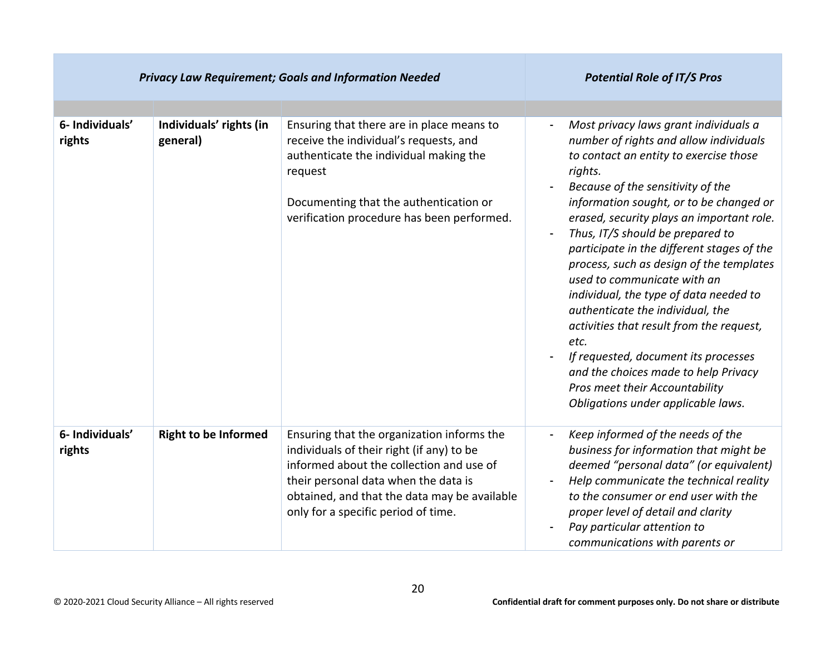| <b>Privacy Law Requirement; Goals and Information Needed</b> |                                     |                                                                                                                                                                                                                                                                    | <b>Potential Role of IT/S Pros</b>                                                                                                                                                                                                                                                                                                                                                                                                                                                                                                                                                                                                                                                                                       |
|--------------------------------------------------------------|-------------------------------------|--------------------------------------------------------------------------------------------------------------------------------------------------------------------------------------------------------------------------------------------------------------------|--------------------------------------------------------------------------------------------------------------------------------------------------------------------------------------------------------------------------------------------------------------------------------------------------------------------------------------------------------------------------------------------------------------------------------------------------------------------------------------------------------------------------------------------------------------------------------------------------------------------------------------------------------------------------------------------------------------------------|
|                                                              |                                     |                                                                                                                                                                                                                                                                    |                                                                                                                                                                                                                                                                                                                                                                                                                                                                                                                                                                                                                                                                                                                          |
| 6- Individuals'<br>rights                                    | Individuals' rights (in<br>general) | Ensuring that there are in place means to<br>receive the individual's requests, and<br>authenticate the individual making the<br>request<br>Documenting that the authentication or<br>verification procedure has been performed.                                   | Most privacy laws grant individuals a<br>number of rights and allow individuals<br>to contact an entity to exercise those<br>rights.<br>Because of the sensitivity of the<br>information sought, or to be changed or<br>erased, security plays an important role.<br>Thus, IT/S should be prepared to<br>participate in the different stages of the<br>process, such as design of the templates<br>used to communicate with an<br>individual, the type of data needed to<br>authenticate the individual, the<br>activities that result from the request,<br>etc.<br>If requested, document its processes<br>and the choices made to help Privacy<br>Pros meet their Accountability<br>Obligations under applicable laws. |
| 6- Individuals'<br>rights                                    | <b>Right to be Informed</b>         | Ensuring that the organization informs the<br>individuals of their right (if any) to be<br>informed about the collection and use of<br>their personal data when the data is<br>obtained, and that the data may be available<br>only for a specific period of time. | Keep informed of the needs of the<br>business for information that might be<br>deemed "personal data" (or equivalent)<br>Help communicate the technical reality<br>$\blacksquare$<br>to the consumer or end user with the<br>proper level of detail and clarity<br>Pay particular attention to<br>communications with parents or                                                                                                                                                                                                                                                                                                                                                                                         |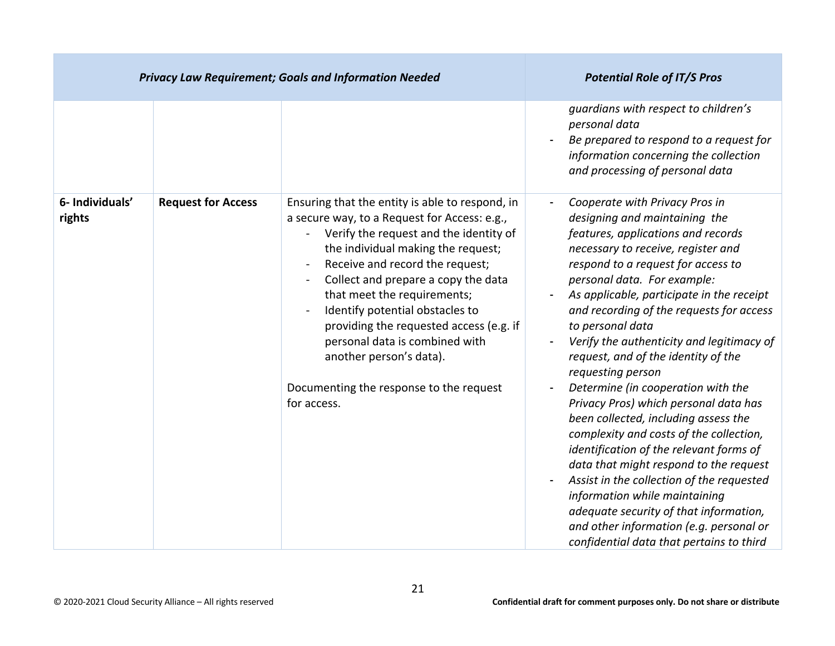|                           | <b>Privacy Law Requirement; Goals and Information Needed</b> | <b>Potential Role of IT/S Pros</b>                                                                                                                                                                                                                                                                                                                                                                                                                                                            |                                                                                                                                                                                                                                                                                                                                                                                                                                                                                                                                                                                                                                                                                                                                                                                                                                                                                                              |
|---------------------------|--------------------------------------------------------------|-----------------------------------------------------------------------------------------------------------------------------------------------------------------------------------------------------------------------------------------------------------------------------------------------------------------------------------------------------------------------------------------------------------------------------------------------------------------------------------------------|--------------------------------------------------------------------------------------------------------------------------------------------------------------------------------------------------------------------------------------------------------------------------------------------------------------------------------------------------------------------------------------------------------------------------------------------------------------------------------------------------------------------------------------------------------------------------------------------------------------------------------------------------------------------------------------------------------------------------------------------------------------------------------------------------------------------------------------------------------------------------------------------------------------|
|                           |                                                              |                                                                                                                                                                                                                                                                                                                                                                                                                                                                                               | guardians with respect to children's<br>personal data<br>Be prepared to respond to a request for<br>information concerning the collection<br>and processing of personal data                                                                                                                                                                                                                                                                                                                                                                                                                                                                                                                                                                                                                                                                                                                                 |
| 6- Individuals'<br>rights | <b>Request for Access</b>                                    | Ensuring that the entity is able to respond, in<br>a secure way, to a Request for Access: e.g.,<br>Verify the request and the identity of<br>the individual making the request;<br>Receive and record the request;<br>Collect and prepare a copy the data<br>that meet the requirements;<br>Identify potential obstacles to<br>providing the requested access (e.g. if<br>personal data is combined with<br>another person's data).<br>Documenting the response to the request<br>for access. | Cooperate with Privacy Pros in<br>designing and maintaining the<br>features, applications and records<br>necessary to receive, register and<br>respond to a request for access to<br>personal data. For example:<br>As applicable, participate in the receipt<br>and recording of the requests for access<br>to personal data<br>Verify the authenticity and legitimacy of<br>request, and of the identity of the<br>requesting person<br>Determine (in cooperation with the<br>Privacy Pros) which personal data has<br>been collected, including assess the<br>complexity and costs of the collection,<br>identification of the relevant forms of<br>data that might respond to the request<br>Assist in the collection of the requested<br>information while maintaining<br>adequate security of that information,<br>and other information (e.g. personal or<br>confidential data that pertains to third |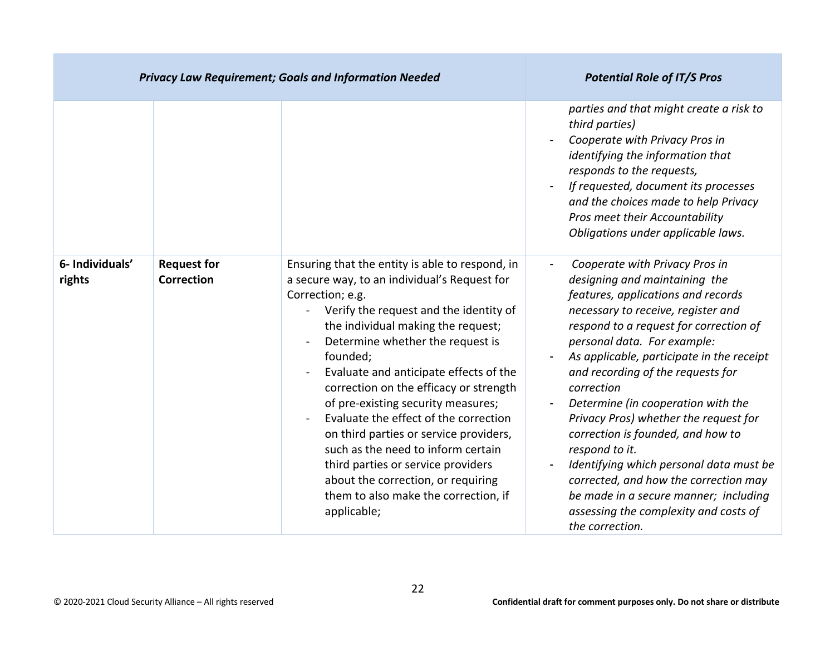|                           |                                         | <b>Privacy Law Requirement; Goals and Information Needed</b>                                                                                                                                                                                                                                                                                                                                                                                                                                                                                                                                                                                                | <b>Potential Role of IT/S Pros</b>                                                                                                                                                                                                                                                                                                                                                                                                                                                                                                                                                                                                                                    |
|---------------------------|-----------------------------------------|-------------------------------------------------------------------------------------------------------------------------------------------------------------------------------------------------------------------------------------------------------------------------------------------------------------------------------------------------------------------------------------------------------------------------------------------------------------------------------------------------------------------------------------------------------------------------------------------------------------------------------------------------------------|-----------------------------------------------------------------------------------------------------------------------------------------------------------------------------------------------------------------------------------------------------------------------------------------------------------------------------------------------------------------------------------------------------------------------------------------------------------------------------------------------------------------------------------------------------------------------------------------------------------------------------------------------------------------------|
|                           |                                         |                                                                                                                                                                                                                                                                                                                                                                                                                                                                                                                                                                                                                                                             | parties and that might create a risk to<br>third parties)<br>Cooperate with Privacy Pros in<br>identifying the information that<br>responds to the requests,<br>If requested, document its processes<br>and the choices made to help Privacy<br>Pros meet their Accountability<br>Obligations under applicable laws.                                                                                                                                                                                                                                                                                                                                                  |
| 6- Individuals'<br>rights | <b>Request for</b><br><b>Correction</b> | Ensuring that the entity is able to respond, in<br>a secure way, to an individual's Request for<br>Correction; e.g.<br>Verify the request and the identity of<br>$\blacksquare$<br>the individual making the request;<br>Determine whether the request is<br>founded;<br>Evaluate and anticipate effects of the<br>correction on the efficacy or strength<br>of pre-existing security measures;<br>Evaluate the effect of the correction<br>on third parties or service providers,<br>such as the need to inform certain<br>third parties or service providers<br>about the correction, or requiring<br>them to also make the correction, if<br>applicable; | Cooperate with Privacy Pros in<br>designing and maintaining the<br>features, applications and records<br>necessary to receive, register and<br>respond to a request for correction of<br>personal data. For example:<br>As applicable, participate in the receipt<br>and recording of the requests for<br>correction<br>Determine (in cooperation with the<br>$\blacksquare$<br>Privacy Pros) whether the request for<br>correction is founded, and how to<br>respond to it.<br>Identifying which personal data must be<br>corrected, and how the correction may<br>be made in a secure manner; including<br>assessing the complexity and costs of<br>the correction. |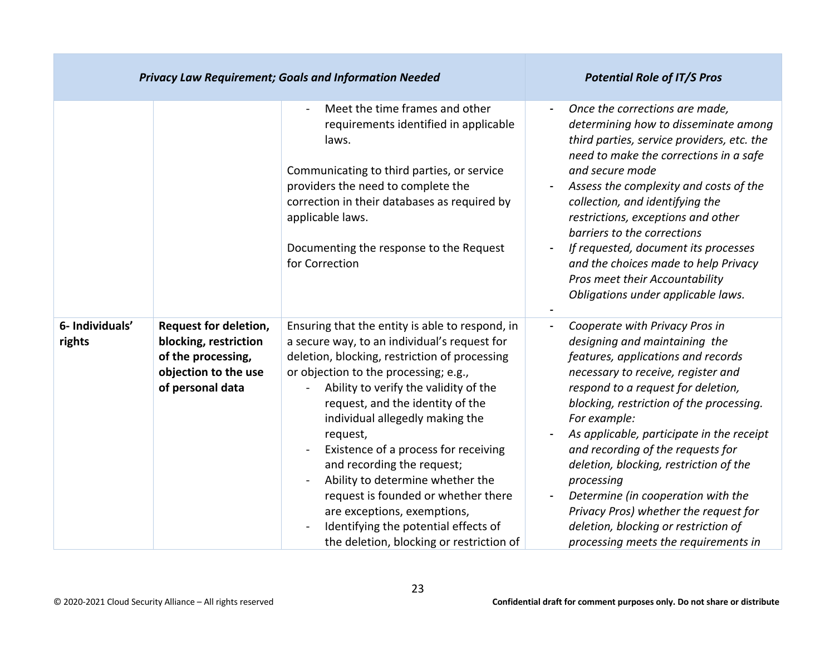|                           | <b>Privacy Law Requirement; Goals and Information Needed</b>                                                     |                                                                                                                                                                                                                                                                                                                                                                                                                                                                                                                                                                                           | <b>Potential Role of IT/S Pros</b>                                                                                                                                                                                                                                                                                                                                                                                                                                                                                                                     |
|---------------------------|------------------------------------------------------------------------------------------------------------------|-------------------------------------------------------------------------------------------------------------------------------------------------------------------------------------------------------------------------------------------------------------------------------------------------------------------------------------------------------------------------------------------------------------------------------------------------------------------------------------------------------------------------------------------------------------------------------------------|--------------------------------------------------------------------------------------------------------------------------------------------------------------------------------------------------------------------------------------------------------------------------------------------------------------------------------------------------------------------------------------------------------------------------------------------------------------------------------------------------------------------------------------------------------|
|                           |                                                                                                                  | Meet the time frames and other<br>requirements identified in applicable<br>laws.<br>Communicating to third parties, or service<br>providers the need to complete the<br>correction in their databases as required by<br>applicable laws.<br>Documenting the response to the Request<br>for Correction                                                                                                                                                                                                                                                                                     | Once the corrections are made,<br>determining how to disseminate among<br>third parties, service providers, etc. the<br>need to make the corrections in a safe<br>and secure mode<br>Assess the complexity and costs of the<br>collection, and identifying the<br>restrictions, exceptions and other<br>barriers to the corrections<br>If requested, document its processes<br>and the choices made to help Privacy<br>Pros meet their Accountability<br>Obligations under applicable laws.                                                            |
| 6- Individuals'<br>rights | Request for deletion,<br>blocking, restriction<br>of the processing,<br>objection to the use<br>of personal data | Ensuring that the entity is able to respond, in<br>a secure way, to an individual's request for<br>deletion, blocking, restriction of processing<br>or objection to the processing; e.g.,<br>Ability to verify the validity of the<br>request, and the identity of the<br>individual allegedly making the<br>request,<br>Existence of a process for receiving<br>and recording the request;<br>Ability to determine whether the<br>request is founded or whether there<br>are exceptions, exemptions,<br>Identifying the potential effects of<br>the deletion, blocking or restriction of | Cooperate with Privacy Pros in<br>designing and maintaining the<br>features, applications and records<br>necessary to receive, register and<br>respond to a request for deletion,<br>blocking, restriction of the processing.<br>For example:<br>As applicable, participate in the receipt<br>and recording of the requests for<br>deletion, blocking, restriction of the<br>processing<br>Determine (in cooperation with the<br>Privacy Pros) whether the request for<br>deletion, blocking or restriction of<br>processing meets the requirements in |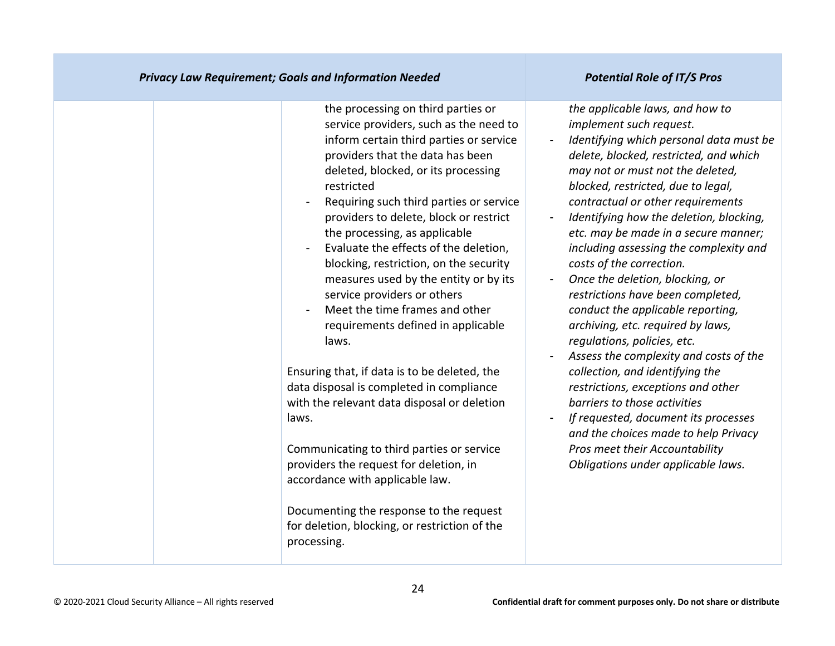| <b>Privacy Law Requirement; Goals and Information Needed</b>                                                                                                                                                                                                                                                                                                                                                                                                                                                                                                                                                                                                                                                                                                                                                                                                                                                                                                                                                    | <b>Potential Role of IT/S Pros</b>                                                                                                                                                                                                                                                                                                                                                                                                                                                                                                                                                                                                                                                                                                                                                                                                                                                                                  |
|-----------------------------------------------------------------------------------------------------------------------------------------------------------------------------------------------------------------------------------------------------------------------------------------------------------------------------------------------------------------------------------------------------------------------------------------------------------------------------------------------------------------------------------------------------------------------------------------------------------------------------------------------------------------------------------------------------------------------------------------------------------------------------------------------------------------------------------------------------------------------------------------------------------------------------------------------------------------------------------------------------------------|---------------------------------------------------------------------------------------------------------------------------------------------------------------------------------------------------------------------------------------------------------------------------------------------------------------------------------------------------------------------------------------------------------------------------------------------------------------------------------------------------------------------------------------------------------------------------------------------------------------------------------------------------------------------------------------------------------------------------------------------------------------------------------------------------------------------------------------------------------------------------------------------------------------------|
| the processing on third parties or<br>service providers, such as the need to<br>inform certain third parties or service<br>providers that the data has been<br>deleted, blocked, or its processing<br>restricted<br>Requiring such third parties or service<br>$\overline{a}$<br>providers to delete, block or restrict<br>the processing, as applicable<br>Evaluate the effects of the deletion,<br>$\blacksquare$<br>blocking, restriction, on the security<br>measures used by the entity or by its<br>service providers or others<br>Meet the time frames and other<br>requirements defined in applicable<br>laws.<br>Ensuring that, if data is to be deleted, the<br>data disposal is completed in compliance<br>with the relevant data disposal or deletion<br>laws.<br>Communicating to third parties or service<br>providers the request for deletion, in<br>accordance with applicable law.<br>Documenting the response to the request<br>for deletion, blocking, or restriction of the<br>processing. | the applicable laws, and how to<br>implement such request.<br>Identifying which personal data must be<br>delete, blocked, restricted, and which<br>may not or must not the deleted,<br>blocked, restricted, due to legal,<br>contractual or other requirements<br>Identifying how the deletion, blocking,<br>etc. may be made in a secure manner;<br>including assessing the complexity and<br>costs of the correction.<br>Once the deletion, blocking, or<br>restrictions have been completed,<br>conduct the applicable reporting,<br>archiving, etc. required by laws,<br>regulations, policies, etc.<br>Assess the complexity and costs of the<br>collection, and identifying the<br>restrictions, exceptions and other<br>barriers to those activities<br>If requested, document its processes<br>and the choices made to help Privacy<br>Pros meet their Accountability<br>Obligations under applicable laws. |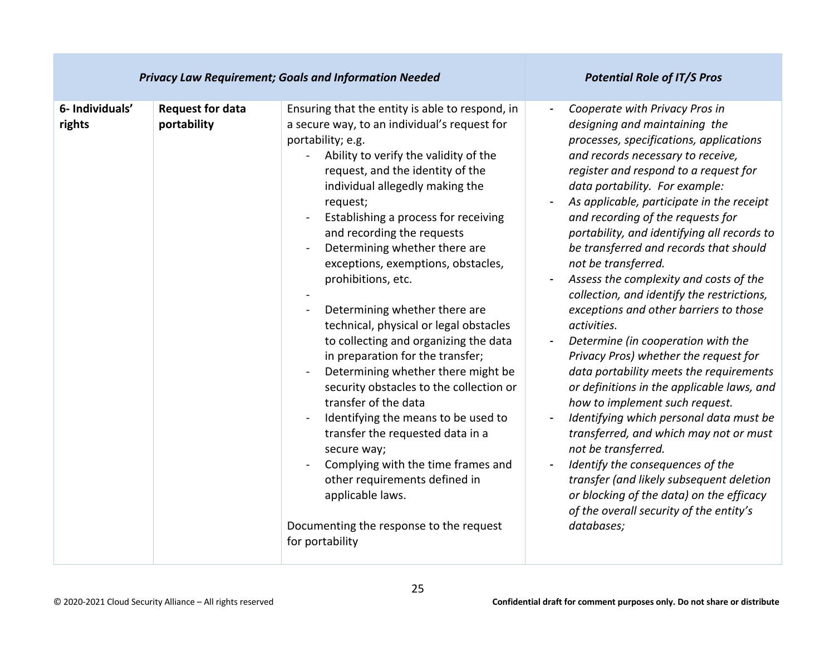| <b>Privacy Law Requirement; Goals and Information Needed</b> |                                        |                                                                                                                                                                                                                                                                                                                                                                                                                                                                                                                                                                                                                                                                                                                                                                                                                                                                                                                                         | <b>Potential Role of IT/S Pros</b>                                                                                                                                                                                                                                                                                                                                                                                                                                                                                                                                                                                                                                                                                                                                                                                                                                                                                                                                                                                                                                                                         |
|--------------------------------------------------------------|----------------------------------------|-----------------------------------------------------------------------------------------------------------------------------------------------------------------------------------------------------------------------------------------------------------------------------------------------------------------------------------------------------------------------------------------------------------------------------------------------------------------------------------------------------------------------------------------------------------------------------------------------------------------------------------------------------------------------------------------------------------------------------------------------------------------------------------------------------------------------------------------------------------------------------------------------------------------------------------------|------------------------------------------------------------------------------------------------------------------------------------------------------------------------------------------------------------------------------------------------------------------------------------------------------------------------------------------------------------------------------------------------------------------------------------------------------------------------------------------------------------------------------------------------------------------------------------------------------------------------------------------------------------------------------------------------------------------------------------------------------------------------------------------------------------------------------------------------------------------------------------------------------------------------------------------------------------------------------------------------------------------------------------------------------------------------------------------------------------|
| 6- Individuals'<br>rights                                    | <b>Request for data</b><br>portability | Ensuring that the entity is able to respond, in<br>a secure way, to an individual's request for<br>portability; e.g.<br>Ability to verify the validity of the<br>request, and the identity of the<br>individual allegedly making the<br>request;<br>Establishing a process for receiving<br>and recording the requests<br>Determining whether there are<br>exceptions, exemptions, obstacles,<br>prohibitions, etc.<br>Determining whether there are<br>technical, physical or legal obstacles<br>to collecting and organizing the data<br>in preparation for the transfer;<br>Determining whether there might be<br>security obstacles to the collection or<br>transfer of the data<br>Identifying the means to be used to<br>transfer the requested data in a<br>secure way;<br>Complying with the time frames and<br>other requirements defined in<br>applicable laws.<br>Documenting the response to the request<br>for portability | Cooperate with Privacy Pros in<br>$\blacksquare$<br>designing and maintaining the<br>processes, specifications, applications<br>and records necessary to receive,<br>register and respond to a request for<br>data portability. For example:<br>As applicable, participate in the receipt<br>and recording of the requests for<br>portability, and identifying all records to<br>be transferred and records that should<br>not be transferred.<br>Assess the complexity and costs of the<br>collection, and identify the restrictions,<br>exceptions and other barriers to those<br>activities.<br>Determine (in cooperation with the<br>Privacy Pros) whether the request for<br>data portability meets the requirements<br>or definitions in the applicable laws, and<br>how to implement such request.<br>Identifying which personal data must be<br>transferred, and which may not or must<br>not be transferred.<br>Identify the consequences of the<br>transfer (and likely subsequent deletion<br>or blocking of the data) on the efficacy<br>of the overall security of the entity's<br>databases; |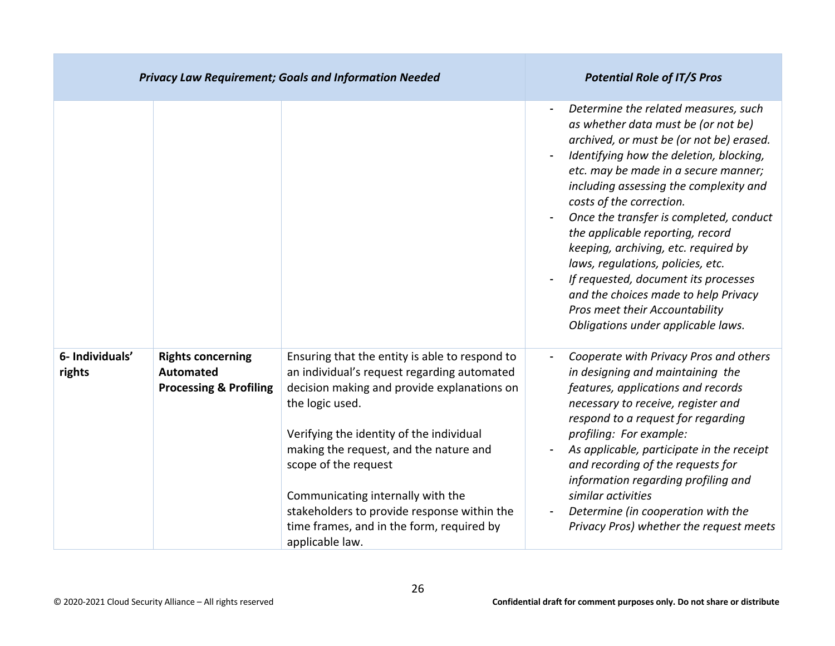|                           |                                                                                   | <b>Privacy Law Requirement; Goals and Information Needed</b>                                                                                                                                                                                                                                                                                                                                                                      | <b>Potential Role of IT/S Pros</b>                                                                                                                                                                                                                                                                                                                                                                                                                                                                                                                                                                   |
|---------------------------|-----------------------------------------------------------------------------------|-----------------------------------------------------------------------------------------------------------------------------------------------------------------------------------------------------------------------------------------------------------------------------------------------------------------------------------------------------------------------------------------------------------------------------------|------------------------------------------------------------------------------------------------------------------------------------------------------------------------------------------------------------------------------------------------------------------------------------------------------------------------------------------------------------------------------------------------------------------------------------------------------------------------------------------------------------------------------------------------------------------------------------------------------|
|                           |                                                                                   |                                                                                                                                                                                                                                                                                                                                                                                                                                   | Determine the related measures, such<br>as whether data must be (or not be)<br>archived, or must be (or not be) erased.<br>Identifying how the deletion, blocking,<br>etc. may be made in a secure manner;<br>including assessing the complexity and<br>costs of the correction.<br>Once the transfer is completed, conduct<br>the applicable reporting, record<br>keeping, archiving, etc. required by<br>laws, regulations, policies, etc.<br>If requested, document its processes<br>and the choices made to help Privacy<br>Pros meet their Accountability<br>Obligations under applicable laws. |
| 6- Individuals'<br>rights | <b>Rights concerning</b><br><b>Automated</b><br><b>Processing &amp; Profiling</b> | Ensuring that the entity is able to respond to<br>an individual's request regarding automated<br>decision making and provide explanations on<br>the logic used.<br>Verifying the identity of the individual<br>making the request, and the nature and<br>scope of the request<br>Communicating internally with the<br>stakeholders to provide response within the<br>time frames, and in the form, required by<br>applicable law. | Cooperate with Privacy Pros and others<br>in designing and maintaining the<br>features, applications and records<br>necessary to receive, register and<br>respond to a request for regarding<br>profiling: For example:<br>As applicable, participate in the receipt<br>and recording of the requests for<br>information regarding profiling and<br>similar activities<br>Determine (in cooperation with the<br>Privacy Pros) whether the request meets                                                                                                                                              |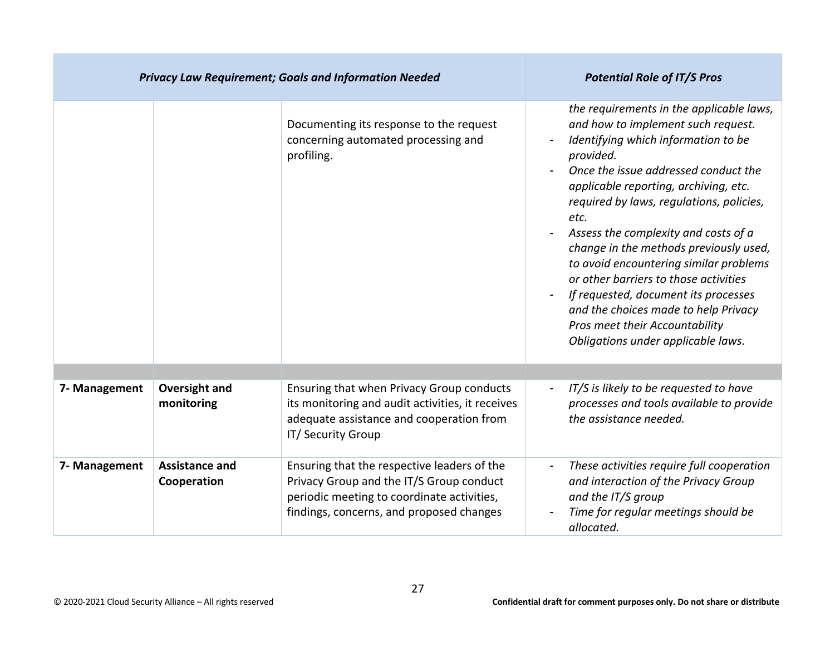| <b>Privacy Law Requirement; Goals and Information Needed</b> |                                      |                                                                                                                                                                                   | <b>Potential Role of IT/S Pros</b>                                                                                                                                                                                                                                                                                                                                                                                                                                                                                                                                                                   |
|--------------------------------------------------------------|--------------------------------------|-----------------------------------------------------------------------------------------------------------------------------------------------------------------------------------|------------------------------------------------------------------------------------------------------------------------------------------------------------------------------------------------------------------------------------------------------------------------------------------------------------------------------------------------------------------------------------------------------------------------------------------------------------------------------------------------------------------------------------------------------------------------------------------------------|
|                                                              |                                      | Documenting its response to the request<br>concerning automated processing and<br>profiling.                                                                                      | the requirements in the applicable laws,<br>and how to implement such request.<br>Identifying which information to be<br>provided.<br>Once the issue addressed conduct the<br>applicable reporting, archiving, etc.<br>required by laws, regulations, policies,<br>etc.<br>Assess the complexity and costs of a<br>change in the methods previously used,<br>to avoid encountering similar problems<br>or other barriers to those activities<br>If requested, document its processes<br>and the choices made to help Privacy<br>Pros meet their Accountability<br>Obligations under applicable laws. |
|                                                              |                                      |                                                                                                                                                                                   |                                                                                                                                                                                                                                                                                                                                                                                                                                                                                                                                                                                                      |
| 7- Management                                                | <b>Oversight and</b><br>monitoring   | Ensuring that when Privacy Group conducts<br>its monitoring and audit activities, it receives<br>adequate assistance and cooperation from<br>IT/ Security Group                   | IT/S is likely to be requested to have<br>processes and tools available to provide<br>the assistance needed.                                                                                                                                                                                                                                                                                                                                                                                                                                                                                         |
| 7- Management                                                | <b>Assistance and</b><br>Cooperation | Ensuring that the respective leaders of the<br>Privacy Group and the IT/S Group conduct<br>periodic meeting to coordinate activities,<br>findings, concerns, and proposed changes | These activities require full cooperation<br>and interaction of the Privacy Group<br>and the IT/S group<br>Time for regular meetings should be<br>allocated.                                                                                                                                                                                                                                                                                                                                                                                                                                         |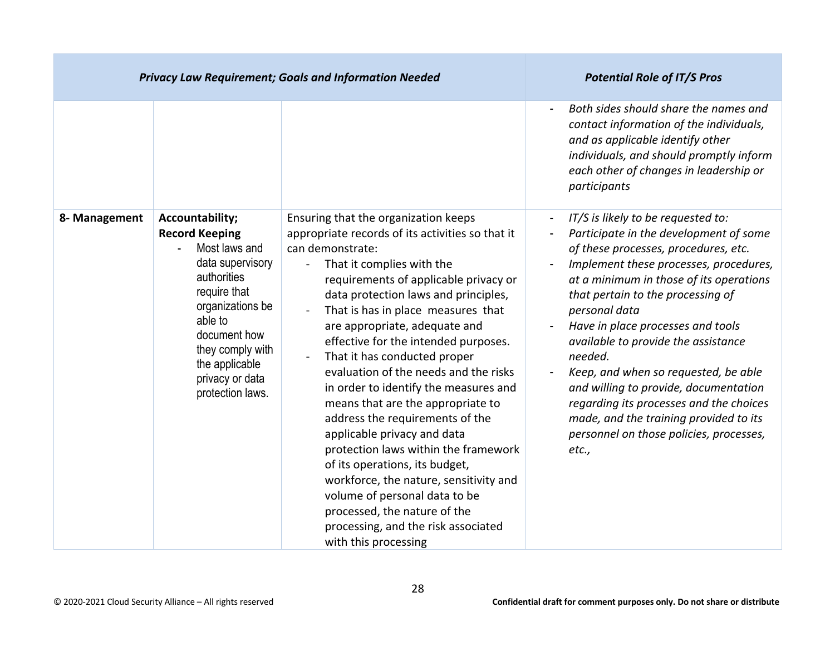|               | <b>Privacy Law Requirement; Goals and Information Needed</b>                                                                                                                                                                             | <b>Potential Role of IT/S Pros</b>                                                                                                                                                                                                                                                                                                                                                                                                                                                                                                                                                                                                                                                                                                                                                                                                                                           |                                                                                                                                                                                                                                                                                                                                                                                                                                                                                                                                                                                  |
|---------------|------------------------------------------------------------------------------------------------------------------------------------------------------------------------------------------------------------------------------------------|------------------------------------------------------------------------------------------------------------------------------------------------------------------------------------------------------------------------------------------------------------------------------------------------------------------------------------------------------------------------------------------------------------------------------------------------------------------------------------------------------------------------------------------------------------------------------------------------------------------------------------------------------------------------------------------------------------------------------------------------------------------------------------------------------------------------------------------------------------------------------|----------------------------------------------------------------------------------------------------------------------------------------------------------------------------------------------------------------------------------------------------------------------------------------------------------------------------------------------------------------------------------------------------------------------------------------------------------------------------------------------------------------------------------------------------------------------------------|
|               |                                                                                                                                                                                                                                          |                                                                                                                                                                                                                                                                                                                                                                                                                                                                                                                                                                                                                                                                                                                                                                                                                                                                              | Both sides should share the names and<br>contact information of the individuals,<br>and as applicable identify other<br>individuals, and should promptly inform<br>each other of changes in leadership or<br>participants                                                                                                                                                                                                                                                                                                                                                        |
| 8- Management | Accountability;<br><b>Record Keeping</b><br>Most laws and<br>data supervisory<br>authorities<br>require that<br>organizations be<br>able to<br>document how<br>they comply with<br>the applicable<br>privacy or data<br>protection laws. | Ensuring that the organization keeps<br>appropriate records of its activities so that it<br>can demonstrate:<br>That it complies with the<br>$\blacksquare$<br>requirements of applicable privacy or<br>data protection laws and principles,<br>That is has in place measures that<br>$\blacksquare$<br>are appropriate, adequate and<br>effective for the intended purposes.<br>That it has conducted proper<br>$\blacksquare$<br>evaluation of the needs and the risks<br>in order to identify the measures and<br>means that are the appropriate to<br>address the requirements of the<br>applicable privacy and data<br>protection laws within the framework<br>of its operations, its budget,<br>workforce, the nature, sensitivity and<br>volume of personal data to be<br>processed, the nature of the<br>processing, and the risk associated<br>with this processing | IT/S is likely to be requested to:<br>Participate in the development of some<br>of these processes, procedures, etc.<br>Implement these processes, procedures,<br>at a minimum in those of its operations<br>that pertain to the processing of<br>personal data<br>Have in place processes and tools<br>available to provide the assistance<br>needed.<br>Keep, and when so requested, be able<br>and willing to provide, documentation<br>regarding its processes and the choices<br>made, and the training provided to its<br>personnel on those policies, processes,<br>etc., |